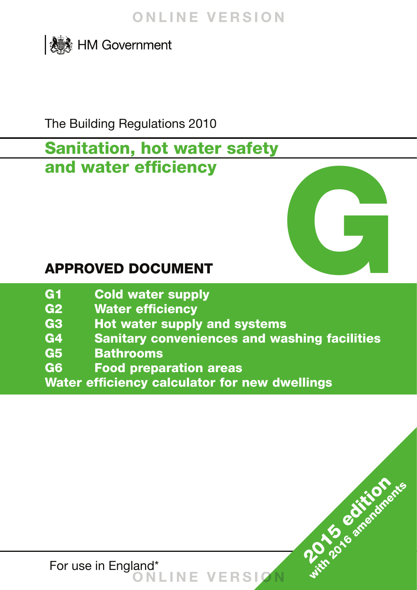

The Building Regulations 2010

## **Sanitation, hot water safety and water efficiency**



**2015 edition**ents

- **G1 Cold water supply**
- **G2 Water efficiency**
- **G3 Hot water supply and systems**
- **G4 Sanitary conveniences and washing facilities**
- **G5 Bathrooms**
- **G6 Food preparation areas**
- **Water efficiency calculator for new dwellings**

For use in England\* **ONLINE VERSIO N**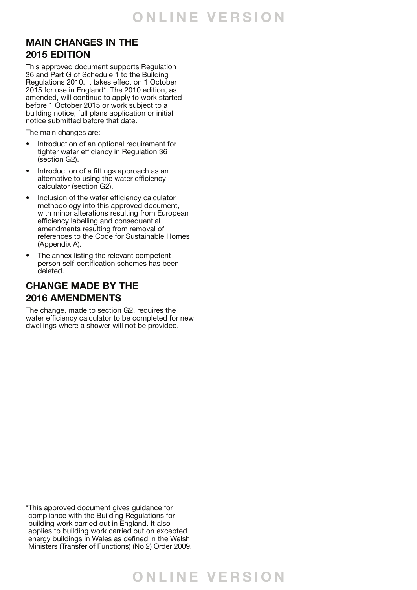### **MAIN CHANGES IN THE 2015 EDITION**

This approved document supports Regulation 36 and Part G of Schedule 1 to the Building Regulations 2010. It takes effect on 1 October 2015 for use in England\*. The 2010 edition, as amended, will continue to apply to work started before 1 October 2015 or work subject to a building notice, full plans application or initial notice submitted before that date.

The main changes are:

- Introduction of an optional requirement for tighter water efficiency in Regulation 36 (section G2).
- Introduction of a fittings approach as an alternative to using the water efficiency calculator (section G2).
- Inclusion of the water efficiency calculator methodology into this approved document, with minor alterations resulting from European efficiency labelling and consequential amendments resulting from removal of references to the Code for Sustainable Homes (Appendix A).
- The annex listing the relevant competent person self-certification schemes has been deleted.

### **CHANGE MADE BY THE 2016 AMENDMENTS**

The change, made to section G2, requires the water efficiency calculator to be completed for new dwellings where a shower will not be provided.

\* This approved document gives guidance for compliance with the Building Regulations for building work carried out in England. It also applies to building work carried out on excepted energy buildings in Wales as defined in the Welsh Ministers (Transfer of Functions) (No 2) Order 2009.

## **O NLINE VER S I O N**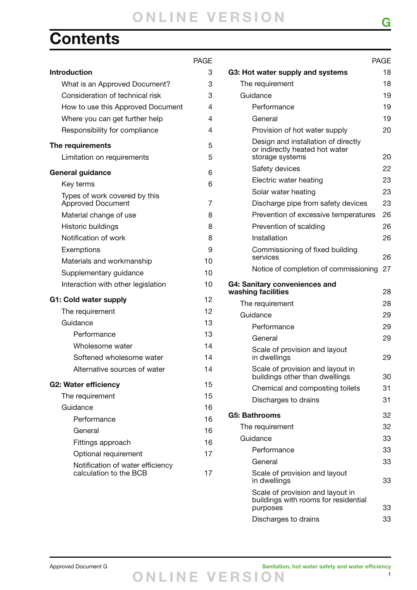## **Contents**

### PAGE **Introduction** 3 What is an Approved Document? 3 Consideration of technical risk 3 How to use this Approved Document 4 Where you can get further help 4 Responsibility for compliance 4 **The requirements** 5 Limitation on requirements 5 **General guidance** 6 Key terms 6 Types of work covered by this Approved Document 7 Material change of use 8 Historic buildings and the state of the state of the state of the state of the state of the state of the state of the state of the state of the state of the state of the state of the state of the state of the state of the Notification of work 8 Exemptions 9 Materials and workmanship 10 Supplementary quidance 10 Interaction with other legislation 10 **G1: Cold water supply** 12 The requirement 12 Guidance 13 Performance 13 Wholesome water 14 Softened wholesome water 14 Alternative sources of water 14 **G2: Water efficiency** 15 The requirement 15 Guidance 16 Performance 16 General 16 Fittings approach 16 Optional requirement 17 Notification of water efficiency calculation to the BCB 17

|                                                                                          | <b>PAGE</b> |
|------------------------------------------------------------------------------------------|-------------|
| G3: Hot water supply and systems                                                         | 18          |
| The requirement                                                                          | 18          |
| Guidance                                                                                 | 19          |
| Performance                                                                              | 19          |
| General                                                                                  | 19          |
| Provision of hot water supply                                                            | 20          |
| Design and installation of directly<br>or indirectly heated hot water<br>storage systems | 20          |
| Safety devices                                                                           | 22          |
| Electric water heating                                                                   | 23          |
| Solar water heating                                                                      | 23          |
| Discharge pipe from safety devices                                                       | 23          |
| Prevention of excessive temperatures                                                     | 26          |
| Prevention of scalding                                                                   | 26          |
| Installation                                                                             | 26          |
| Commissioning of fixed building<br>services                                              | 26          |
| Notice of completion of commissioning                                                    | 27          |
| G4: Sanitary conveniences and<br>washing facilities                                      | 28          |
| The requirement                                                                          | 28          |
| Guidance                                                                                 | 29          |
| Performance                                                                              | 29          |
| General                                                                                  | 29          |
| Scale of provision and layout<br>in dwellings                                            | 29          |
| Scale of provision and layout in<br>buildings other than dwellings                       | 30          |
| Chemical and composting toilets                                                          | 31          |
| Discharges to drains                                                                     | 31          |
| G5: Bathrooms                                                                            | 32          |
| The requirement                                                                          | 32          |
| Guidance                                                                                 | 33          |
| Performance                                                                              | 33          |
| General                                                                                  | 33          |
| Scale of provision and layout<br>in dwellings                                            | 33          |
| Scale of provision and layout in<br>buildings with rooms for residential<br>purposes     | 33          |
| Discharges to drains                                                                     | 33          |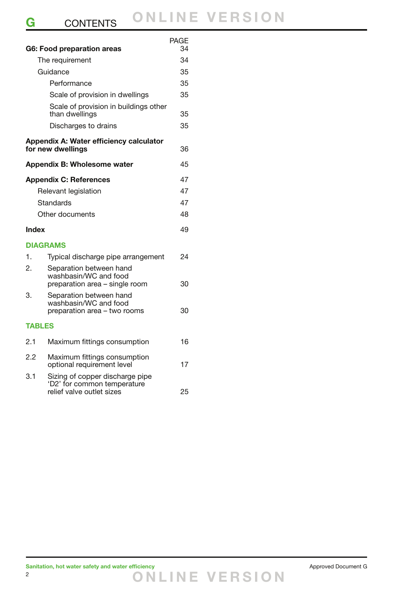|               | <b>G6: Food preparation areas</b>                                                  | PAGE<br>34 |
|---------------|------------------------------------------------------------------------------------|------------|
|               | The requirement                                                                    | 34         |
|               | Guidance                                                                           | 35         |
|               | Performance                                                                        | 35         |
|               | Scale of provision in dwellings                                                    | 35         |
|               | Scale of provision in buildings other<br>than dwellings                            | 35         |
|               | Discharges to drains                                                               | 35         |
|               | Appendix A: Water efficiency calculator<br>for new dwellings                       | 36         |
|               | Appendix B: Wholesome water                                                        | 45         |
|               | <b>Appendix C: References</b>                                                      | 47         |
|               | Relevant legislation                                                               | 47         |
|               | Standards                                                                          | 47         |
|               | Other documents                                                                    | 48         |
| Index         |                                                                                    | 49         |
|               | <b>DIAGRAMS</b>                                                                    |            |
| 1.            | Typical discharge pipe arrangement                                                 | 24         |
| 2.            | Separation between hand<br>washbasin/WC and food<br>preparation area - single room | 30         |
| 3.            | Separation between hand<br>washbasin/WC and food<br>preparation area - two rooms   | 30         |
| <b>TABLES</b> |                                                                                    |            |
| 2.1           | Maximum fittings consumption                                                       | 16         |

| 2.2 | Maximum fittings consumption<br>optional requirement level                                  | 17 |
|-----|---------------------------------------------------------------------------------------------|----|
| 3.1 | Sizing of copper discharge pipe<br>'D2' for common temperature<br>relief valve outlet sizes | 25 |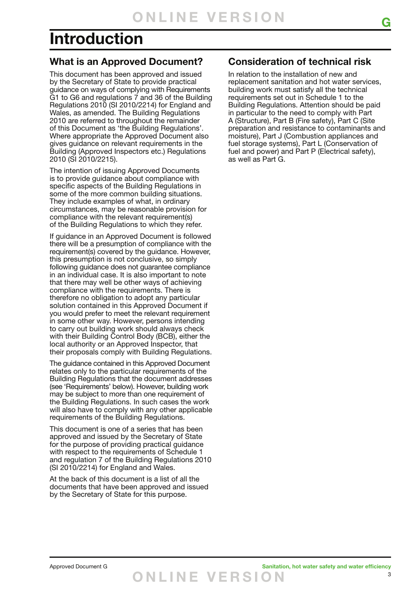## **Introduction**

### **What is an Approved Document?**

This document has been approved and issued by the Secretary of State to provide practical guidance on ways of complying with Requirements G1 to G6 and regulations 7 and 36 of the Building Regulations 2010 (SI 2010/2214) for England and Wales, as amended. The Building Regulations 2010 are referred to throughout the remainder of this Document as 'the Building Regulations'. Where appropriate the Approved Document also gives guidance on relevant requirements in the Building (Approved Inspectors etc.) Regulations 2010 (SI 2010/2215).

The intention of issuing Approved Documents is to provide guidance about compliance with specific aspects of the Building Regulations in some of the more common building situations. They include examples of what, in ordinary circumstances, may be reasonable provision for compliance with the relevant requirement(s) of the Building Regulations to which they refer.

If guidance in an Approved Document is followed there will be a presumption of compliance with the requirement(s) covered by the guidance. However, this presumption is not conclusive, so simply following guidance does not guarantee compliance in an individual case. It is also important to note that there may well be other ways of achieving compliance with the requirements. There is therefore no obligation to adopt any particular solution contained in this Approved Document if you would prefer to meet the relevant requirement in some other way. However, persons intending to carry out building work should always check with their Building Control Body (BCB), either the local authority or an Approved Inspector, that their proposals comply with Building Regulations.

The guidance contained in this Approved Document relates only to the particular requirements of the Building Regulations that the document addresses (see 'Requirements' below). However, building work may be subject to more than one requirement of the Building Regulations. In such cases the work will also have to comply with any other applicable requirements of the Building Regulations.

This document is one of a series that has been approved and issued by the Secretary of State for the purpose of providing practical guidance with respect to the requirements of Schedule 1 and regulation 7 of the Building Regulations 2010 (SI 2010/2214) for England and Wales.

At the back of this document is a list of all the documents that have been approved and issued by the Secretary of State for this purpose.

### **Consideration of technical risk**

**G**

In relation to the installation of new and replacement sanitation and hot water services, building work must satisfy all the technical requirements set out in Schedule 1 to the Building Regulations. Attention should be paid in particular to the need to comply with Part A (Structure), Part B (Fire safety), Part C (Site preparation and resistance to contaminants and moisture), Part J (Combustion appliances and fuel storage systems), Part L (Conservation of fuel and power) and Part P (Electrical safety), as well as Part G.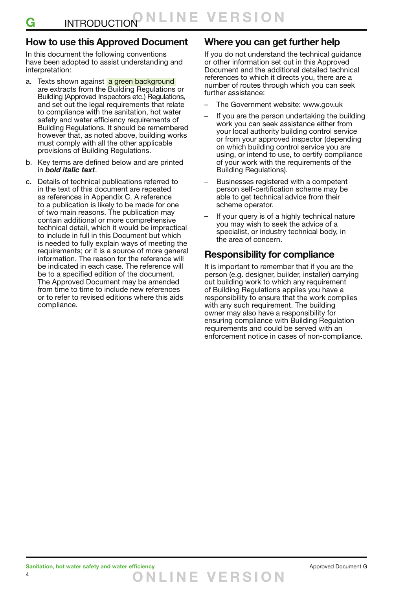### **How to use this Approved Document**

In this document the following conventions have been adopted to assist understanding and interpretation:

- a. Texts shown against a green background are extracts from the Building Regulations or Building (Approved Inspectors etc.) Regulations, and set out the legal requirements that relate to compliance with the sanitation, hot water safety and water efficiency requirements of Building Regulations. It should be remembered however that, as noted above, building works must comply with all the other applicable provisions of Building Regulations.
- b. Key terms are defined below and are printed in *bold italic text*.
- c. Details of technical publications referred to in the text of this document are repeated as references in Appendix C. A reference to a publication is likely to be made for one of two main reasons. The publication may contain additional or more comprehensive technical detail, which it would be impractical to include in full in this Document but which is needed to fully explain ways of meeting the requirements; or it is a source of more general information. The reason for the reference will be indicated in each case. The reference will be to a specified edition of the document. The Approved Document may be amended from time to time to include new references or to refer to revised editions where this aids compliance.

### **Where you can get further help**

If you do not understand the technical guidance or other information set out in this Approved Document and the additional detailed technical references to which it directs you, there are a number of routes through which you can seek further assistance:

- The Government website: www.gov.uk
- If you are the person undertaking the building work you can seek assistance either from your local authority building control service or from your approved inspector (depending on which building control service you are using, or intend to use, to certify compliance of your work with the requirements of the Building Regulations).
- Businesses registered with a competent person self-certification scheme may be able to get technical advice from their scheme operator.
- If your query is of a highly technical nature you may wish to seek the advice of a specialist, or industry technical body, in the area of concern.

### **Responsibility for compliance**

It is important to remember that if you are the person (e.g. designer, builder, installer) carrying out building work to which any requirement of Building Regulations applies you have a responsibility to ensure that the work complies with any such requirement. The building owner may also have a responsibility for ensuring compliance with Building Regulation requirements and could be served with an enforcement notice in cases of non-compliance.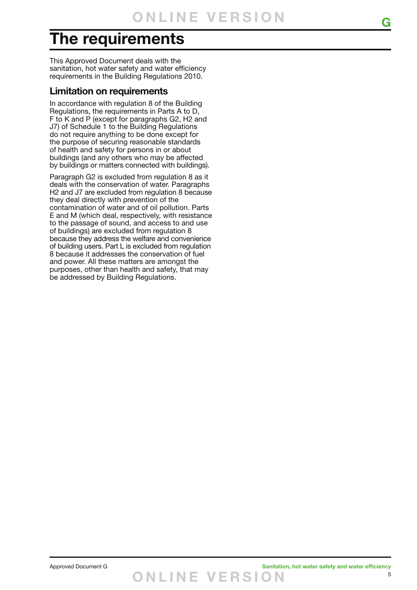## **The requirements**

This Approved Document deals with the sanitation, hot water safety and water efficiency requirements in the Building Regulations 2010.

### **Limitation on requirements**

In accordance with regulation 8 of the Building Regulations, the requirements in Parts A to D, F to K and P (except for paragraphs G2, H2 and J7) of Schedule 1 to the Building Regulations do not require anything to be done except for the purpose of securing reasonable standards of health and safety for persons in or about buildings (and any others who may be affected by buildings or matters connected with buildings).

Paragraph G2 is excluded from regulation 8 as it deals with the conservation of water. Paragraphs H2 and J7 are excluded from regulation 8 because they deal directly with prevention of the contamination of water and of oil pollution. Parts E and M (which deal, respectively, with resistance to the passage of sound, and access to and use of buildings) are excluded from regulation 8 because they address the welfare and convenience of building users. Part L is excluded from regulation 8 because it addresses the conservation of fuel and power. All these matters are amongst the purposes, other than health and safety, that may be addressed by Building Regulations.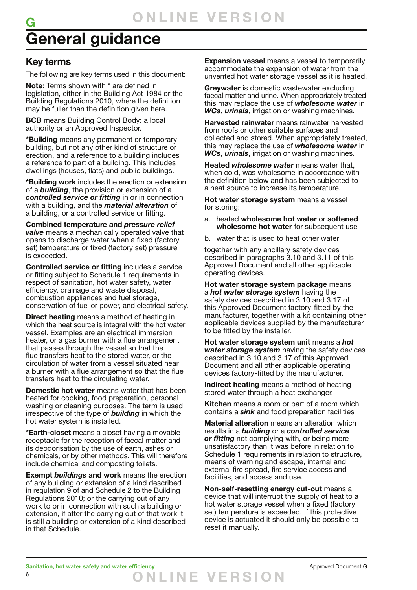## **G General guidance**

### **Key terms**

The following are key terms used in this document:

**Note:** Terms shown with \* are defined in legislation, either in the Building Act 1984 or the Building Regulations 2010, where the definition may be fuller than the definition given here.

**BCB** means Building Control Body: a local authority or an Approved Inspector.

**\*Building** means any permanent or temporary building, but not any other kind of structure or erection, and a reference to a building includes a reference to part of a building. This includes dwellings (houses, flats) and public buildings.

**\*Building work** includes the erection or extension of a *building*, the provision or extension of a *controlled service or fitting* in or in connection with a building, and the *material alteration* of a building, or a controlled service or fitting.

**Combined temperature and** *pressure relief valve* means a mechanically operated valve that opens to discharge water when a fixed (factory set) temperature or fixed (factory set) pressure is exceeded.

**Controlled service or fitting** includes a service or fitting subject to Schedule 1 requirements in respect of sanitation, hot water safety, water efficiency, drainage and waste disposal, combustion appliances and fuel storage, conservation of fuel or power, and electrical safety.

**Direct heating** means a method of heating in which the heat source is integral with the hot water vessel. Examples are an electrical immersion heater, or a gas burner with a flue arrangement that passes through the vessel so that the flue transfers heat to the stored water, or the circulation of water from a vessel situated near a burner with a flue arrangement so that the flue transfers heat to the circulating water.

**Domestic hot water** means water that has been heated for cooking, food preparation, personal washing or cleaning purposes. The term is used irrespective of the type of *building* in which the hot water system is installed.

**\*Earth-closet** means a closet having a movable receptacle for the reception of faecal matter and its deodorisation by the use of earth, ashes or chemicals, or by other methods. This will therefore include chemical and composting toilets.

**Exempt** *buildings* **and work** means the erection of any building or extension of a kind described in regulation 9 of and Schedule 2 to the Building Regulations 2010; or the carrying out of any work to or in connection with such a building or extension, if after the carrying out of that work it is still a building or extension of a kind described in that Schedule.

**Expansion vessel** means a vessel to temporarily accommodate the expansion of water from the unvented hot water storage vessel as it is heated.

**Greywater** is domestic wastewater excluding faecal matter and urine. When appropriately treated this may replace the use of *wholesome water* in *WCs*, *urinals*, irrigation or washing machines*.*

**Harvested rainwater** means rainwater harvested from roofs or other suitable surfaces and collected and stored. When appropriately treated, this may replace the use of *wholesome water* in *WCs*, *urinals*, irrigation or washing machines*.*

**Heated** *wholesome water* means water that, when cold, was wholesome in accordance with the definition below and has been subjected to a heat source to increase its temperature.

**Hot water storage system** means a vessel for storing:

- a. heated **wholesome hot water** or **softened wholesome hot water** for subsequent use
- b. water that is used to heat other water

together with any ancillary safety devices described in paragraphs 3.10 and 3.11 of this Approved Document and all other applicable operating devices.

**Hot water storage system package** means a *hot water storage system* having the safety devices described in 3.10 and 3.17 of this Approved Document factory-fitted by the manufacturer, together with a kit containing other applicable devices supplied by the manufacturer to be fitted by the installer.

**Hot water storage system unit** means a *hot water storage system* having the safety devices described in 3.10 and 3.17 of this Approved Document and all other applicable operating devices factory-fitted by the manufacturer.

**Indirect heating** means a method of heating stored water through a heat exchanger.

**Kitchen** means a room or part of a room which contains a *sink* and food preparation facilities

**Material alteration** means an alteration which results in a *building* or a *controlled service or fitting* not complying with, or being more unsatisfactory than it was before in relation to Schedule 1 requirements in relation to structure, means of warning and escape, internal and external fire spread, fire service access and facilities, and access and use.

**Non-self-resetting energy cut-out** means a device that will interrupt the supply of heat to a hot water storage vessel when a fixed (factory set) temperature is exceeded. If this protective device is actuated it should only be possible to reset it manually.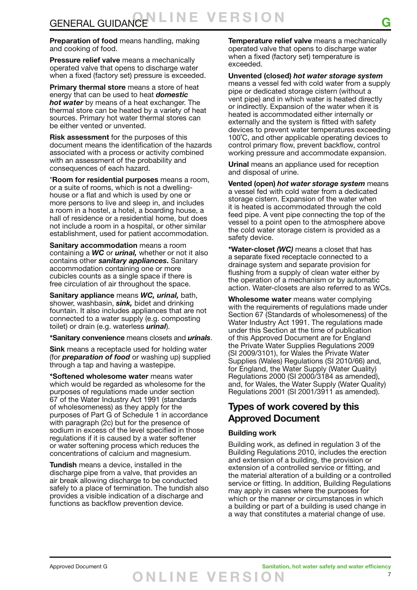**Preparation of food** means handling, making and cooking of food.

**Pressure relief valve** means a mechanically operated valve that opens to discharge water when a fixed (factory set) pressure is exceeded.

**Primary thermal store** means a store of heat energy that can be used to heat *domestic hot water* by means of a heat exchanger. The thermal store can be heated by a variety of heat sources. Primary hot water thermal stores can be either vented or unvented.

**Risk assessment** for the purposes of this document means the identification of the hazards associated with a process or activity combined with an assessment of the probability and consequences of each hazard.

\***Room for residential purposes** means a room, or a suite of rooms, which is not a dwellinghouse or a flat and which is used by one or more persons to live and sleep in, and includes a room in a hostel, a hotel, a boarding house, a hall of residence or a residential home, but does not include a room in a hospital, or other similar establishment, used for patient accommodation.

**Sanitary accommodation** means a room containing a *WC* or *urinal,* whether or not it also contains other *sanitary appliances***.** Sanitary accommodation containing one or more cubicles counts as a single space if there is free circulation of air throughout the space.

**Sanitary appliance** means *WC, urinal,* bath, shower, washbasin, *sink,* bidet and drinking fountain. It also includes appliances that are not connected to a water supply (e.g. composting toilet) or drain (e.g. waterless *urinal*).

**\*Sanitary convenience** means closets and *urinals*.

**Sink** means a receptacle used for holding water (for *preparation of food* or washing up) supplied through a tap and having a wastepipe.

**\*Softened wholesome water** means water which would be regarded as wholesome for the purposes of regulations made under section 67 of the Water Industry Act 1991 (standards of wholesomeness) as they apply for the purposes of Part G of Schedule 1 in accordance with paragraph (2c) but for the presence of sodium in excess of the level specified in those regulations if it is caused by a water softener or water softening process which reduces the concentrations of calcium and magnesium.

**Tundish** means a device, installed in the discharge pipe from a valve, that provides an air break allowing discharge to be conducted safely to a place of termination. The tundish also provides a visible indication of a discharge and functions as backflow prevention device.

**Temperature relief valve** means a mechanically operated valve that opens to discharge water when a fixed (factory set) temperature is exceeded.

**Unvented (closed)** *hot water storage system* means a vessel fed with cold water from a supply pipe or dedicated storage cistern (without a vent pipe) and in which water is heated directly or indirectly. Expansion of the water when it is heated is accommodated either internally or externally and the system is fitted with safety devices to prevent water temperatures exceeding 100˚C, and other applicable operating devices to control primary flow, prevent backflow, control working pressure and accommodate expansion.

**Urinal** means an appliance used for reception and disposal of urine.

**Vented (open)** *hot water storage system* means a vessel fed with cold water from a dedicated storage cistern. Expansion of the water when it is heated is accommodated through the cold feed pipe. A vent pipe connecting the top of the vessel to a point open to the atmosphere above the cold water storage cistern is provided as a safety device.

**\*Water-closet** *(WC)* means a closet that has a separate fixed receptacle connected to a drainage system and separate provision for flushing from a supply of clean water either by the operation of a mechanism or by automatic action. Water-closets are also referred to as WCs.

**Wholesome water** means water complying with the requirements of regulations made under Section 67 (Standards of wholesomeness) of the Water Industry Act 1991. The regulations made under this Section at the time of publication of this Approved Document are for England the Private Water Supplies Regulations 2009 (SI 2009/3101), for Wales the Private Water Supplies (Wales) Regulations (SI 2010/66) and, for England, the Water Supply (Water Quality) Regulations 2000 (SI 2000/3184 as amended), and, for Wales, the Water Supply (Water Quality) Regulations 2001 (SI 2001/3911 as amended).

### **Types of work covered by this Approved Document**

### **Building work**

Building work, as defined in regulation 3 of the Building Regulations 2010, includes the erection and extension of a building, the provision or extension of a controlled service or fitting, and the material alteration of a building or a controlled service or fitting. In addition, Building Regulations may apply in cases where the purposes for which or the manner or circumstances in which a building or part of a building is used change in a way that constitutes a material change of use.

**O NLINE VER S I O N**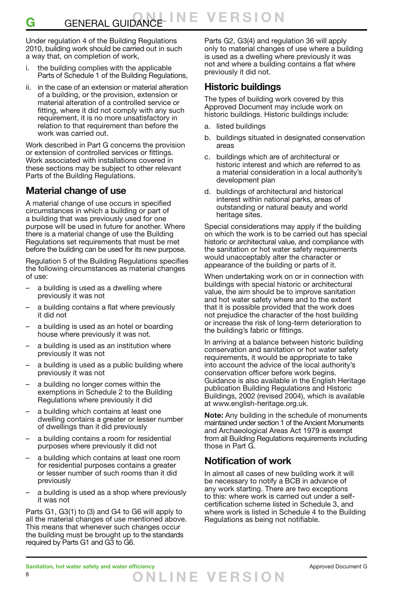Under regulation 4 of the Building Regulations 2010, building work should be carried out in such a way that, on completion of work,

- i. the building complies with the applicable Parts of Schedule 1 of the Building Regulations,
- ii. in the case of an extension or material alteration of a building, or the provision, extension or material alteration of a controlled service or fitting, where it did not comply with any such requirement, it is no more unsatisfactory in relation to that requirement than before the work was carried out.

Work described in Part G concerns the provision or extension of controlled services or fittings. Work associated with installations covered in these sections may be subject to other relevant Parts of the Building Regulations.

### **Material change of use**

A material change of use occurs in specified circumstances in which a building or part of a building that was previously used for one purpose will be used in future for another. Where there is a material change of use the Building Regulations set requirements that must be met before the building can be used for its new purpose.

Regulation 5 of the Building Regulations specifies the following circumstances as material changes of use:

- a building is used as a dwelling where previously it was not
- a building contains a flat where previously it did not
- a building is used as an hotel or boarding house where previously it was not.
- a building is used as an institution where previously it was not
- a building is used as a public building where previously it was not
- a building no longer comes within the exemptions in Schedule 2 to the Building Regulations where previously it did
- a building which contains at least one dwelling contains a greater or lesser number of dwellings than it did previously
- a building contains a room for residential purposes where previously it did not
- a building which contains at least one room for residential purposes contains a greater or lesser number of such rooms than it did previously
- a building is used as a shop where previously it was not

Parts G1, G3(1) to (3) and G4 to G6 will apply to all the material changes of use mentioned above. This means that whenever such changes occur the building must be brought up to the standards required by Parts G1 and G3 to G6.

Parts G2, G3(4) and regulation 36 will apply only to material changes of use where a building is used as a dwelling where previously it was not and where a building contains a flat where previously it did not.

### **Historic buildings**

The types of building work covered by this Approved Document may include work on historic buildings. Historic buildings include:

- a. listed buildings
- b. buildings situated in designated conservation areas
- c. buildings which are of architectural or historic interest and which are referred to as a material consideration in a local authority's development plan
- d. buildings of architectural and historical interest within national parks, areas of outstanding or natural beauty and world heritage sites.

Special considerations may apply if the building on which the work is to be carried out has special historic or architectural value, and compliance with the sanitation or hot water safety requirements would unacceptably alter the character or appearance of the building or parts of it.

When undertaking work on or in connection with buildings with special historic or architectural value, the aim should be to improve sanitation and hot water safety where and to the extent that it is possible provided that the work does not prejudice the character of the host building or increase the risk of long-term deterioration to the building's fabric or fittings.

In arriving at a balance between historic building conservation and sanitation or hot water safety requirements, it would be appropriate to take into account the advice of the local authority's conservation officer before work begins. Guidance is also available in the English Heritage publication Building Regulations and Historic Buildings, 2002 (revised 2004), which is available at www.english-heritage.org.uk.

**Note:** Any building in the schedule of monuments maintained under section 1 of the Ancient Monuments and Archaeological Areas Act 1979 is exempt from all Building Regulations requirements including those in Part G.

### **Notification of work**

In almost all cases of new building work it will be necessary to notify a BCB in advance of any work starting. There are two exceptions to this: where work is carried out under a selfcertification scheme listed in Schedule 3, and where work is listed in Schedule 4 to the Building Regulations as being not notifiable.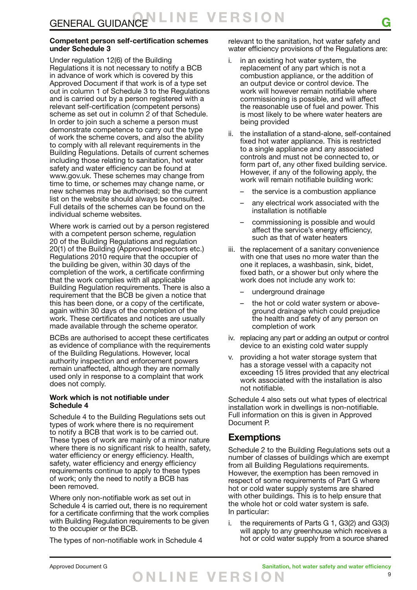#### **Competent person self-certification schemes under Schedule 3**

Under regulation 12(6) of the Building Regulations it is not necessary to notify a BCB in advance of work which is covered by this Approved Document if that work is of a type set out in column 1 of Schedule 3 to the Regulations and is carried out by a person registered with a relevant self-certification (competent persons) scheme as set out in column 2 of that Schedule. In order to join such a scheme a person must demonstrate competence to carry out the type of work the scheme covers, and also the ability to comply with all relevant requirements in the Building Regulations. Details of current schemes including those relating to sanitation, hot water safety and water efficiency can be found at www.gov.uk. These schemes may change from time to time, or schemes may change name, or new schemes may be authorised; so the current list on the website should always be consulted. Full details of the schemes can be found on the individual scheme websites.

Where work is carried out by a person registered with a competent person scheme, regulation 20 of the Building Regulations and regulation 20(1) of the Building (Approved Inspectors etc.) Regulations 2010 require that the occupier of the building be given, within 30 days of the completion of the work, a certificate confirming that the work complies with all applicable Building Regulation requirements. There is also a requirement that the BCB be given a notice that this has been done, or a copy of the certificate, again within 30 days of the completion of the work. These certificates and notices are usually made available through the scheme operator.

BCBs are authorised to accept these certificates as evidence of compliance with the requirements of the Building Regulations. However, local authority inspection and enforcement powers remain unaffected, although they are normally used only in response to a complaint that work does not comply.

#### **Work which is not notifiable under Schedule 4**

Schedule 4 to the Building Regulations sets out types of work where there is no requirement to notify a BCB that work is to be carried out. These types of work are mainly of a minor nature where there is no significant risk to health, safety, water efficiency or energy efficiency. Health, safety, water efficiency and energy efficiency requirements continue to apply to these types of work; only the need to notify a BCB has been removed.

Where only non-notifiable work as set out in Schedule 4 is carried out, there is no requirement for a certificate confirming that the work complies with Building Regulation requirements to be given to the occupier or the BCB.

The types of non-notifiable work in Schedule 4

relevant to the sanitation, hot water safety and water efficiency provisions of the Regulations are:

- i. in an existing hot water system, the replacement of any part which is not a combustion appliance, or the addition of an output device or control device. The work will however remain notifiable where commissioning is possible, and will affect the reasonable use of fuel and power. This is most likely to be where water heaters are being provided
- ii. the installation of a stand-alone, self-contained fixed hot water appliance. This is restricted to a single appliance and any associated controls and must not be connected to, or form part of, any other fixed building service. However, if any of the following apply, the work will remain notifiable building work:
	- the service is a combustion appliance
	- any electrical work associated with the installation is notifiable
	- commissioning is possible and would affect the service's energy efficiency, such as that of water heaters
- iii. the replacement of a sanitary convenience with one that uses no more water than the one it replaces, a washbasin, sink, bidet, fixed bath, or a shower but only where the work does not include any work to:
	- underground drainage
	- the hot or cold water system or aboveground drainage which could prejudice the health and safety of any person on completion of work
- iv. replacing any part or adding an output or control device to an existing cold water supply
- providing a hot water storage system that has a storage vessel with a capacity not exceeding 15 litres provided that any electrical work associated with the installation is also not notifiable.

Schedule 4 also sets out what types of electrical installation work in dwellings is non-notifiable. Full information on this is given in Approved Document P.

### **Exemptions**

Schedule 2 to the Building Regulations sets out a number of classes of buildings which are exempt from all Building Regulations requirements. However, the exemption has been removed in respect of some requirements of Part G where hot or cold water supply systems are shared with other buildings. This is to help ensure that the whole hot or cold water system is safe. In particular:

i. the requirements of Parts G 1, G3(2) and G3(3) will apply to any greenhouse which receives a hot or cold water supply from a source shared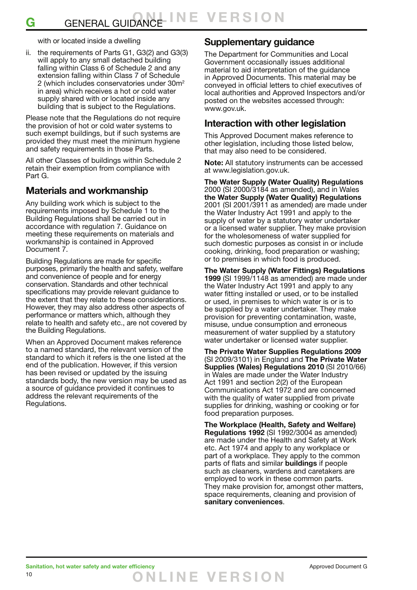with or located inside a dwelling

ii. the requirements of Parts G1, G3(2) and G3(3) will apply to any small detached building falling within Class 6 of Schedule 2 and any extension falling within Class 7 of Schedule 2 (which includes conservatories under 30m2 in area) which receives a hot or cold water supply shared with or located inside any building that is subject to the Regulations.

Please note that the Regulations do not require the provision of hot or cold water systems to such exempt buildings, but if such systems are provided they must meet the minimum hygiene and safety requirements in those Parts.

All other Classes of buildings within Schedule 2 retain their exemption from compliance with Part G.

### **Materials and workmanship**

Any building work which is subject to the requirements imposed by Schedule 1 to the Building Regulations shall be carried out in accordance with regulation 7. Guidance on meeting these requirements on materials and workmanship is contained in Approved Document 7.

Building Regulations are made for specific purposes, primarily the health and safety, welfare and convenience of people and for energy conservation. Standards and other technical specifications may provide relevant guidance to the extent that they relate to these considerations. However, they may also address other aspects of performance or matters which, although they relate to health and safety etc., are not covered by the Building Regulations.

When an Approved Document makes reference to a named standard, the relevant version of the standard to which it refers is the one listed at the end of the publication. However, if this version has been revised or updated by the issuing standards body, the new version may be used as a source of guidance provided it continues to address the relevant requirements of the Regulations.

### **Supplementary guidance**

The Department for Communities and Local Government occasionally issues additional material to aid interpretation of the guidance in Approved Documents. This material may be conveyed in official letters to chief executives of local authorities and Approved Inspectors and/or posted on the websites accessed through: www.gov.uk.

### **Interaction with other legislation**

This Approved Document makes reference to other legislation, including those listed below, that may also need to be considered.

**Note:** All statutory instruments can be accessed at www.legislation.gov.uk.

**The Water Supply (Water Quality) Regulations** 2000 (SI 2000/3184 as amended), and in Wales **the Water Supply (Water Quality) Regulations** 2001 (SI 2001/3911 as amended) are made under the Water Industry Act 1991 and apply to the supply of water by a statutory water undertaker or a licensed water supplier. They make provision for the wholesomeness of water supplied for such domestic purposes as consist in or include cooking, drinking, food preparation or washing; or to premises in which food is produced.

**The Water Supply (Water Fittings) Regulations 1999** (SI 1999/1148 as amended) are made under the Water Industry Act 1991 and apply to any water fitting installed or used, or to be installed or used, in premises to which water is or is to be supplied by a water undertaker. They make provision for preventing contamination, waste, misuse, undue consumption and erroneous measurement of water supplied by a statutory water undertaker or licensed water supplier.

**The Private Water Supplies Regulations 2009**  (SI 2009/3101) in England and **The Private Water Supplies (Wales) Regulations 2010** (SI 2010/66) in Wales are made under the Water Industry Act 1991 and section 2(2) of the European Communications Act 1972 and are concerned with the quality of water supplied from private supplies for drinking, washing or cooking or for food preparation purposes.

**The Workplace (Health, Safety and Welfare) Regulations 1992** (SI 1992/3004 as amended) are made under the Health and Safety at Work etc. Act 1974 and apply to any workplace or part of a workplace. They apply to the common parts of flats and similar **buildings** if people such as cleaners, wardens and caretakers are employed to work in these common parts. They make provision for, amongst other matters, space requirements, cleaning and provision of **sanitary conveniences**.

**O NLINE VER S I O N**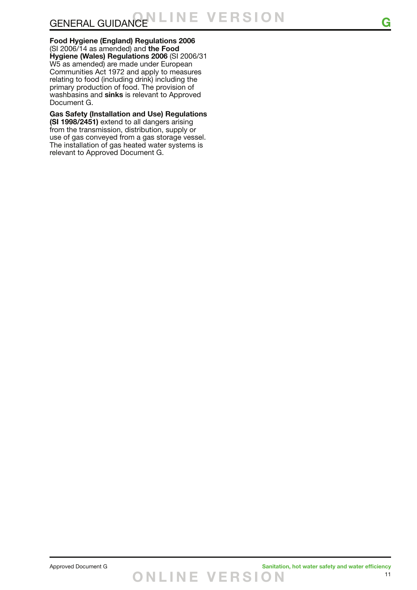**Food Hygiene (England) Regulations 2006**  (SI 2006/14 as amended) and **the Food Hygiene (Wales) Regulations 2006** (SI 2006/31 W5 as amended) are made under European Communities Act 1972 and apply to measures relating to food (including drink) including the primary production of food. The provision of washbasins and **sinks** is relevant to Approved Document G.

**Gas Safety (Installation and Use) Regulations (SI 1998/2451)** extend to all dangers arising from the transmission, distribution, supply or use of gas conveyed from a gas storage vessel. The installation of gas heated water systems is relevant to Approved Document G.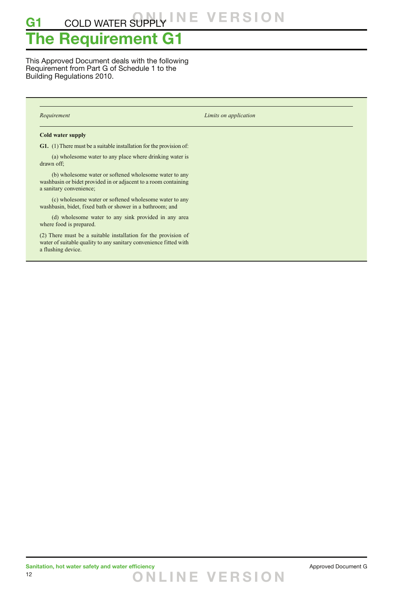## **The Requirement G1**

This Approved Document deals with the following Requirement from Part G of Schedule 1 to the Building Regulations 2010.

*Requirement Limits on application*

#### **Cold water supply**

**G1.** (1) There must be a suitable installation for the provision of:

 (a) wholesome water to any place where drinking water is drawn off;

 (b) wholesome water or softened wholesome water to any washbasin or bidet provided in or adjacent to a room containing a sanitary convenience;

 (c) wholesome water or softened wholesome water to any washbasin, bidet, fixed bath or shower in a bathroom; and

 (d) wholesome water to any sink provided in any area where food is prepared.

(2) There must be a suitable installation for the provision of water of suitable quality to any sanitary convenience fitted with a flushing device.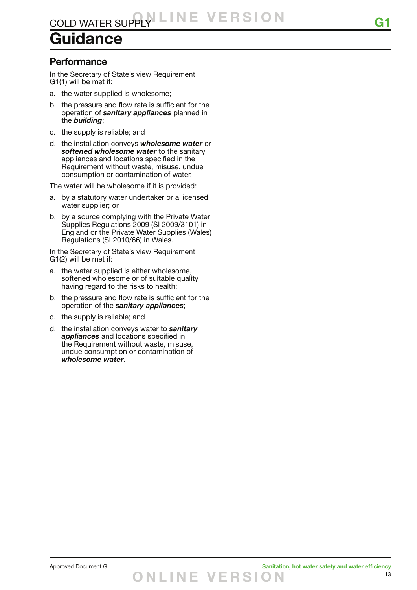# **Guidance**

### **Performance**

In the Secretary of State's view Requirement G1(1) will be met if:

- a. the water supplied is wholesome;
- b. the pressure and flow rate is sufficient for the operation of *sanitary appliances* planned in the *building*;
- c. the supply is reliable; and
- d. the installation conveys *wholesome water* or *softened wholesome water* to the sanitary appliances and locations specified in the Requirement without waste, misuse, undue consumption or contamination of water.

The water will be wholesome if it is provided:

- a. by a statutory water undertaker or a licensed water supplier; or
- b. by a source complying with the Private Water Supplies Regulations 2009 (SI 2009/3101) in England or the Private Water Supplies (Wales) Regulations (SI 2010/66) in Wales.

In the Secretary of State's view Requirement G1(2) will be met if:

- a. the water supplied is either wholesome, softened wholesome or of suitable quality having regard to the risks to health;
- b. the pressure and flow rate is sufficient for the operation of the *sanitary appliances*;
- c. the supply is reliable; and
- d. the installation conveys water to *sanitary appliances* and locations specified in the Requirement without waste, misuse, undue consumption or contamination of *wholesome water*.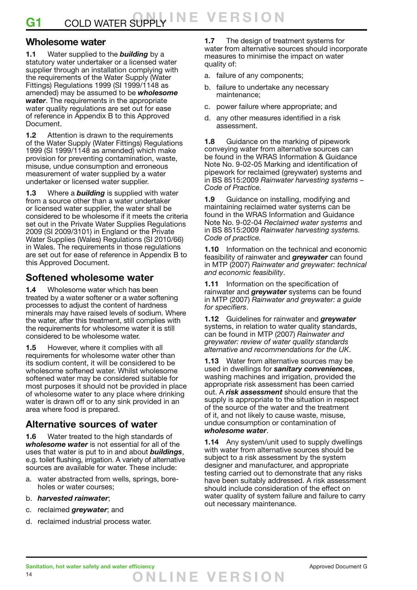### **Wholesome water**

**1.1** Water supplied to the *building* by a statutory water undertaker or a licensed water supplier through an installation complying with the requirements of the Water Supply (Water Fittings) Regulations 1999 (SI 1999/1148 as amended) may be assumed to be *wholesome water*. The requirements in the appropriate water quality regulations are set out for ease of reference in Appendix B to this Approved Document.

**1.2** Attention is drawn to the requirements of the Water Supply (Water Fittings) Regulations 1999 (SI 1999/1148 as amended) which make provision for preventing contamination, waste, misuse, undue consumption and erroneous measurement of water supplied by a water undertaker or licensed water supplier.

**1.3** Where a *building* is supplied with water from a source other than a water undertaker or licensed water supplier, the water shall be considered to be wholesome if it meets the criteria set out in the Private Water Supplies Regulations 2009 (SI 2009/3101) in England or the Private Water Supplies (Wales) Regulations (SI 2010/66) in Wales. The requirements in those regulations are set out for ease of reference in Appendix B to this Approved Document.

### **Softened wholesome water**

**1.4** Wholesome water which has been treated by a water softener or a water softening processes to adjust the content of hardness minerals may have raised levels of sodium. Where the water, after this treatment, still complies with the requirements for wholesome water it is still considered to be wholesome water.

**1.5** However, where it complies with all requirements for wholesome water other than its sodium content, it will be considered to be wholesome softened water. Whilst wholesome softened water may be considered suitable for most purposes it should not be provided in place of wholesome water to any place where drinking water is drawn off or to any sink provided in an area where food is prepared.

### **Alternative sources of water**

**1.6** Water treated to the high standards of *wholesome water* is not essential for all of the uses that water is put to in and about *buildings*, e.g. toilet flushing, irrigation. A variety of alternative sources are available for water. These include:

- a. water abstracted from wells, springs, boreholes or water courses;
- b. *harvested rainwater*;
- c. reclaimed *greywater*; and
- d. reclaimed industrial process water.

**1.7** The design of treatment systems for water from alternative sources should incorporate measures to minimise the impact on water quality of:

- a. failure of any components;
- b. failure to undertake any necessary maintenance;
- c. power failure where appropriate; and
- d. any other measures identified in a risk assessment.

**1.8** Guidance on the marking of pipework conveying water from alternative sources can be found in the WRAS Information & Guidance Note No. 9-02-05 Marking and identification of pipework for reclaimed (greywater) systems and in BS 8515:2009 *Rainwater harvesting systems – Code of Practice.*

**1.9** Guidance on installing, modifying and maintaining reclaimed water systems can be found in the WRAS Information and Guidance Note No. 9-02-04 *Reclaimed water systems* and in BS 8515:2009 *Rainwater harvesting systems. Code of practice.*

**1.10** Information on the technical and economic feasibility of rainwater and *greywater* can found in MTP (2007) *Rainwater and greywater: technical and economic feasibility*.

**1.11** Information on the specification of rainwater and *greywater* systems can be found in MTP (2007) *Rainwater and greywater: a guide for specifiers*.

**1.12** Guidelines for rainwater and *greywater* systems, in relation to water quality standards. can be found in MTP (2007) *Rainwater and greywater: review of water quality standards alternative and recommendations for the UK*.

**1.13** Water from alternative sources may be used in dwellings for *sanitary conveniences*, washing machines and irrigation, provided the appropriate risk assessment has been carried out. A *risk assessment* should ensure that the supply is appropriate to the situation in respect of the source of the water and the treatment of it, and not likely to cause waste, misuse, undue consumption or contamination of *wholesome water*.

**1.14** Any system/unit used to supply dwellings with water from alternative sources should be subject to a risk assessment by the system designer and manufacturer, and appropriate testing carried out to demonstrate that any risks have been suitably addressed. A risk assessment should include consideration of the effect on water quality of system failure and failure to carry out necessary maintenance.

**O NLINE VER S I O N**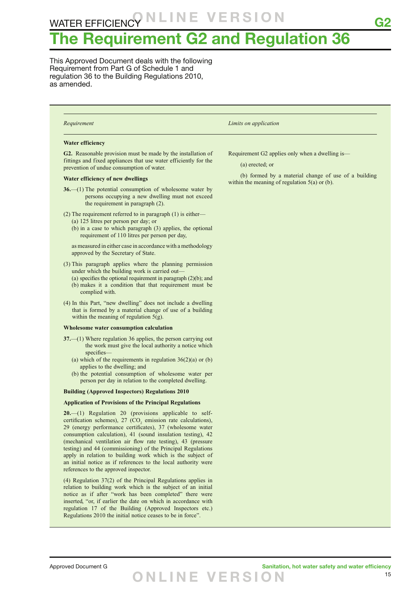## **The Requirement G2 and Regulation 36**

This Approved Document deals with the following Requirement from Part G of Schedule 1 and regulation 36 to the Building Regulations 2010, as amended.

#### **Water efficiency**

**G2.** Reasonable provision must be made by the installation of fittings and fixed appliances that use water efficiently for the prevention of undue consumption of water.

#### **Water efficiency of new dwellings**

- **36.**—(1) The potential consumption of wholesome water by persons occupying a new dwelling must not exceed the requirement in paragraph (2).
- (2) The requirement referred to in paragraph (1) is either—
	- (a) 125 litres per person per day; or
	- (b) in a case to which paragraph (3) applies, the optional requirement of 110 litres per person per day,

 as measured in either case in accordance with a methodology approved by the Secretary of State.

- (3) This paragraph applies where the planning permission under which the building work is carried out—
	- (a) specifies the optional requirement in paragraph (2)(b); and (b) makes it a condition that that requirement must be complied with.
- (4) In this Part, "new dwelling" does not include a dwelling that is formed by a material change of use of a building within the meaning of regulation  $5(g)$ .

#### **Wholesome water consumption calculation**

- **37.**—(1) Where regulation 36 applies, the person carrying out the work must give the local authority a notice which specifies—
	- (a) which of the requirements in regulation  $36(2)(a)$  or (b) applies to the dwelling; and
	- (b) the potential consumption of wholesome water per person per day in relation to the completed dwelling.

#### **Building (Approved Inspectors) Regulations 2010**

#### **Application of Provisions of the Principal Regulations**

**20.**—(1) Regulation 20 (provisions applicable to selfcertification schemes), 27  $(CO<sub>2</sub>$  emission rate calculations), 29 (energy performance certificates), 37 (wholesome water consumption calculation), 41 (sound insulation testing), 42 (mechanical ventilation air flow rate testing), 43 (pressure testing) and 44 (commissioning) of the Principal Regulations apply in relation to building work which is the subject of an initial notice as if references to the local authority were references to the approved inspector.

(4) Regulation 37(2) of the Principal Regulations applies in relation to building work which is the subject of an initial notice as if after "work has been completed" there were inserted, "or, if earlier the date on which in accordance with regulation 17 of the Building (Approved Inspectors etc.) Regulations 2010 the initial notice ceases to be in force".

*Requirement Limits on application*

Requirement G2 applies only when a dwelling is—

(a) erected; or

 (b) formed by a material change of use of a building within the meaning of regulation 5(a) or (b).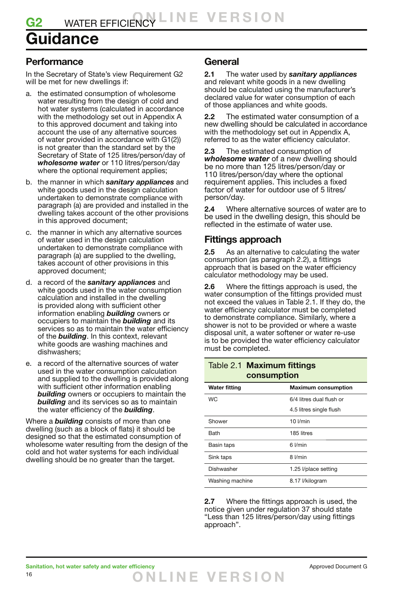## **Guidance**

### **Performance**

In the Secretary of State's view Requirement G2 will be met for new dwellings if:

- a. the estimated consumption of wholesome water resulting from the design of cold and hot water systems (calculated in accordance with the methodology set out in Appendix A to this approved document and taking into account the use of any alternative sources of water provided in accordance with G1(2)) is not greater than the standard set by the Secretary of State of 125 litres/person/day of *wholesome water* or 110 litres/person/day where the optional requirement applies;
- b. the manner in which *sanitary appliances* and white goods used in the design calculation undertaken to demonstrate compliance with paragraph (a) are provided and installed in the dwelling takes account of the other provisions in this approved document;
- c. the manner in which any alternative sources of water used in the design calculation undertaken to demonstrate compliance with paragraph (a) are supplied to the dwelling, takes account of other provisions in this approved document;
- d. a record of the *sanitary appliances* and white goods used in the water consumption calculation and installed in the dwelling is provided along with sufficient other information enabling *building* owners or occupiers to maintain the *building* and its services so as to maintain the water efficiency of the *building*. In this context, relevant white goods are washing machines and dishwashers;
- e. a record of the alternative sources of water used in the water consumption calculation and supplied to the dwelling is provided along with sufficient other information enabling *building* owners or occupiers to maintain the *building* and its services so as to maintain the water efficiency of the *building*.

Where a *building* consists of more than one dwelling (such as a block of flats) it should be designed so that the estimated consumption of wholesome water resulting from the design of the cold and hot water systems for each individual dwelling should be no greater than the target.

### **General**

**2.1** The water used by *sanitary appliances* and relevant white goods in a new dwelling should be calculated using the manufacturer's declared value for water consumption of each of those appliances and white goods.

**2.2** The estimated water consumption of a new dwelling should be calculated in accordance with the methodology set out in Appendix A, referred to as the water efficiency calculator.

**2.3** The estimated consumption of *wholesome water* of a new dwelling should be no more than 125 litres/person/day or 110 litres/person/day where the optional requirement applies. This includes a fixed factor of water for outdoor use of 5 litres/ person/day.

**2.4** Where alternative sources of water are to be used in the dwelling design, this should be reflected in the estimate of water use.

### **Fittings approach**

**2.5** As an alternative to calculating the water consumption (as paragraph 2.2), a fittings approach that is based on the water efficiency calculator methodology may be used.

**2.6** Where the fittings approach is used, the water consumption of the fittings provided must not exceed the values in Table 2.1. If they do, the water efficiency calculator must be completed to demonstrate compliance. Similarly, where a shower is not to be provided or where a waste disposal unit, a water softener or water re-use is to be provided the water efficiency calculator must be completed.

### Table 2.1 **Maximum fittings consumption**

| <b>Water fitting</b> | <b>Maximum consumption</b> |  |  |
|----------------------|----------------------------|--|--|
| <b>WC</b>            | 6/4 litres dual flush or   |  |  |
|                      | 4.5 litres single flush    |  |  |
| Shower               | $10$ $l/min$               |  |  |
| <b>Bath</b>          | 185 litres                 |  |  |
| Basin taps           | 6 l/min                    |  |  |
| Sink taps            | 8 l/min                    |  |  |
| Dishwasher           | 1.25 l/place setting       |  |  |
| Washing machine      | 8.17 l/kilogram            |  |  |

**2.7** Where the fittings approach is used, the notice given under regulation 37 should state "Less than 125 litres/person/day using fittings approach".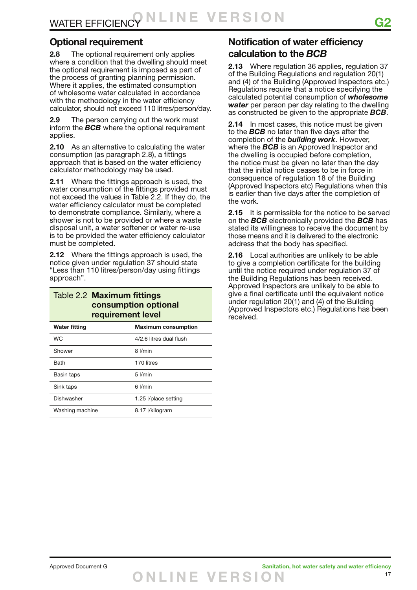### **Optional requirement**

**2.8** The optional requirement only applies where a condition that the dwelling should meet the optional requirement is imposed as part of the process of granting planning permission. Where it applies, the estimated consumption of wholesome water calculated in accordance with the methodology in the water efficiency calculator, should not exceed 110 litres/person/day.

**2.9** The person carrying out the work must inform the *BCB* where the optional requirement applies.

**2.10** As an alternative to calculating the water consumption (as paragraph 2.8), a fittings approach that is based on the water efficiency calculator methodology may be used.

**2.11** Where the fittings approach is used, the water consumption of the fittings provided must not exceed the values in Table 2.2. If they do, the water efficiency calculator must be completed to demonstrate compliance. Similarly, where a shower is not to be provided or where a waste disposal unit, a water softener or water re-use is to be provided the water efficiency calculator must be completed.

**2.12** Where the fittings approach is used, the notice given under regulation 37 should state "Less than 110 litres/person/day using fittings approach".

### Table 2.2 **Maximum fittings consumption optional requirement level**

| <b>Water fitting</b> | <b>Maximum consumption</b> |
|----------------------|----------------------------|
| WC.                  | 4/2.6 litres dual flush    |
| Shower               | 8 I/min                    |
| <b>Bath</b>          | 170 litres                 |
| Basin taps           | $5$ I/min                  |
| Sink taps            | 6 I/min                    |
| Dishwasher           | 1.25 l/place setting       |
| Washing machine      | 8.17 l/kilogram            |

## **Notification of water efficiency calculation to the** *BCB*

**2.13** Where regulation 36 applies, regulation 37 of the Building Regulations and regulation 20(1) and (4) of the Building (Approved Inspectors etc.) Regulations require that a notice specifying the calculated potential consumption of *wholesome water* per person per day relating to the dwelling as constructed be given to the appropriate *BCB*.

**2.14** In most cases, this notice must be given to the *BCB* no later than five days after the completion of the *building work*. However, where the *BCB* is an Approved Inspector and the dwelling is occupied before completion, the notice must be given no later than the day that the initial notice ceases to be in force in consequence of regulation 18 of the Building (Approved Inspectors etc) Regulations when this is earlier than five days after the completion of the work.

**2.15** It is permissible for the notice to be served on the *BCB* electronically provided the *BCB* has stated its willingness to receive the document by those means and it is delivered to the electronic address that the body has specified.

**2.16** Local authorities are unlikely to be able to give a completion certificate for the building until the notice required under regulation 37 of the Building Regulations has been received. Approved Inspectors are unlikely to be able to give a final certificate until the equivalent notice under regulation 20(1) and (4) of the Building (Approved Inspectors etc.) Regulations has been received.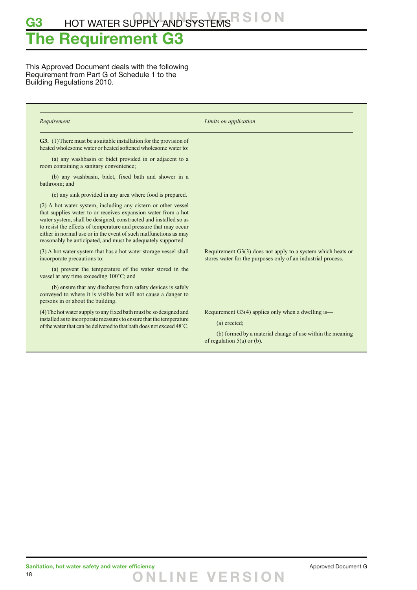## **The Requirement G3**

This Approved Document deals with the following Requirement from Part G of Schedule 1 to the Building Regulations 2010.

| Requirement                                                                                                                                                                                                                                                                                                                                                                                                | Limits on application                                                                                                                                             |
|------------------------------------------------------------------------------------------------------------------------------------------------------------------------------------------------------------------------------------------------------------------------------------------------------------------------------------------------------------------------------------------------------------|-------------------------------------------------------------------------------------------------------------------------------------------------------------------|
| <b>G3.</b> (1) There must be a suitable installation for the provision of<br>heated wholesome water or heated softened wholesome water to:                                                                                                                                                                                                                                                                 |                                                                                                                                                                   |
| (a) any washbasin or bidet provided in or adjacent to a<br>room containing a sanitary convenience;                                                                                                                                                                                                                                                                                                         |                                                                                                                                                                   |
| (b) any washbasin, bidet, fixed bath and shower in a<br>bathroom; and                                                                                                                                                                                                                                                                                                                                      |                                                                                                                                                                   |
| (c) any sink provided in any area where food is prepared.                                                                                                                                                                                                                                                                                                                                                  |                                                                                                                                                                   |
| (2) A hot water system, including any cistern or other vessel<br>that supplies water to or receives expansion water from a hot<br>water system, shall be designed, constructed and installed so as<br>to resist the effects of temperature and pressure that may occur<br>either in normal use or in the event of such malfunctions as may<br>reasonably be anticipated, and must be adequately supported. |                                                                                                                                                                   |
| (3) A hot water system that has a hot water storage vessel shall<br>incorporate precautions to:                                                                                                                                                                                                                                                                                                            | Requirement $G3(3)$ does not apply to a system which heats or<br>stores water for the purposes only of an industrial process.                                     |
| (a) prevent the temperature of the water stored in the<br>vessel at any time exceeding 100°C; and                                                                                                                                                                                                                                                                                                          |                                                                                                                                                                   |
| (b) ensure that any discharge from safety devices is safely<br>conveyed to where it is visible but will not cause a danger to<br>persons in or about the building.                                                                                                                                                                                                                                         |                                                                                                                                                                   |
| (4) The hot water supply to any fixed bath must be so designed and<br>installed as to incorporate measures to ensure that the temperature<br>of the water that can be delivered to that bath does not exceed 48 °C.                                                                                                                                                                                        | Requirement $G3(4)$ applies only when a dwelling is—<br>(a) erected;<br>(b) formed by a material change of use within the meaning<br>of regulation $5(a)$ or (b). |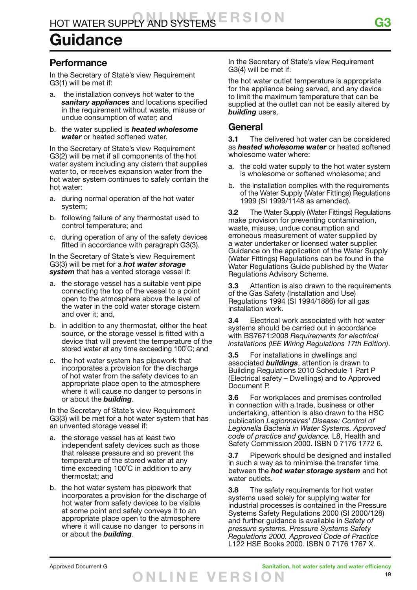# **Guidance**

### **Performance**

In the Secretary of State's view Requirement G3(1) will be met if:

- a. the installation conveys hot water to the *sanitary appliances* and locations specified in the requirement without waste, misuse or undue consumption of water; and
- b. the water supplied is *heated wholesome water* or heated softened water.

In the Secretary of State's view Requirement G3(2) will be met if all components of the hot water system including any cistern that supplies water to, or receives expansion water from the hot water system continues to safely contain the hot water:

- a. during normal operation of the hot water system;
- b. following failure of any thermostat used to control temperature; and
- c. during operation of any of the safety devices fitted in accordance with paragraph G3(3).

In the Secretary of State's view Requirement G3(3) will be met for a *hot water storage system* that has a vented storage vessel if:

- a. the storage vessel has a suitable vent pipe connecting the top of the vessel to a point open to the atmosphere above the level of the water in the cold water storage cistern and over it; and,
- b. in addition to any thermostat, either the heat source, or the storage vessel is fitted with a device that will prevent the temperature of the stored water at any time exceeding 100˚C; and
- c. the hot water system has pipework that incorporates a provision for the discharge of hot water from the safety devices to an appropriate place open to the atmosphere where it will cause no danger to persons in or about the *building*.

In the Secretary of State's view Requirement G3(3) will be met for a hot water system that has an unvented storage vessel if:

- a. the storage vessel has at least two independent safety devices such as those that release pressure and so prevent the temperature of the stored water at any time exceeding 100˚C in addition to any thermostat; and
- b. the hot water system has pipework that incorporates a provision for the discharge of hot water from safety devices to be visible at some point and safely conveys it to an appropriate place open to the atmosphere where it will cause no danger to persons in or about the *building*.

In the Secretary of State's view Requirement G3(4) will be met if:

the hot water outlet temperature is appropriate for the appliance being served, and any device to limit the maximum temperature that can be supplied at the outlet can not be easily altered by *building* users.

### **General**

**3.1** The delivered hot water can be considered as *heated wholesome water* or heated softened wholesome water where:

- a. the cold water supply to the hot water system is wholesome or softened wholesome; and
- b. the installation complies with the requirements of the Water Supply (Water Fittings) Regulations 1999 (SI 1999/1148 as amended).

**3.2** The Water Supply (Water Fittings) Regulations make provision for preventing contamination, waste, misuse, undue consumption and erroneous measurement of water supplied by a water undertaker or licensed water supplier. Guidance on the application of the Water Supply (Water Fittings) Regulations can be found in the Water Regulations Guide published by the Water Regulations Advisory Scheme.

**3.3** Attention is also drawn to the requirements of the Gas Safety (Installation and Use) Regulations 1994 (SI 1994/1886) for all gas installation work.

**3.4** Electrical work associated with hot water systems should be carried out in accordance with BS7671:2008 *Requirements for electrical installations (IEE Wiring Regulations 17th Edition)*.

**3.5** For installations in dwellings and associated *buildings*, attention is drawn to Building Regulations 2010 Schedule 1 Part P (Electrical safety – Dwellings) and to Approved Document P.

**3.6** For workplaces and premises controlled in connection with a trade, business or other undertaking, attention is also drawn to the HSC publication *Legionnaires' Disease: Control of Legionella Bacteria in Water Systems. Approved code of practice and guidance.* L8, Health and Safety Commission 2000. ISBN 0 7176 1772 6.

**3.7** Pipework should be designed and installed in such a way as to minimise the transfer time between the *hot water storage system* and hot water outlets.

**3.8** The safety requirements for hot water systems used solely for supplying water for industrial processes is contained in the Pressure Systems Safety Regulations 2000 (SI 2000/128) and further guidance is available in *Safety of pressure systems. Pressure Systems Safety Regulations 2000. Approved Code of Practice*  L122 HSE Books 2000. ISBN 0 7176 1767 X.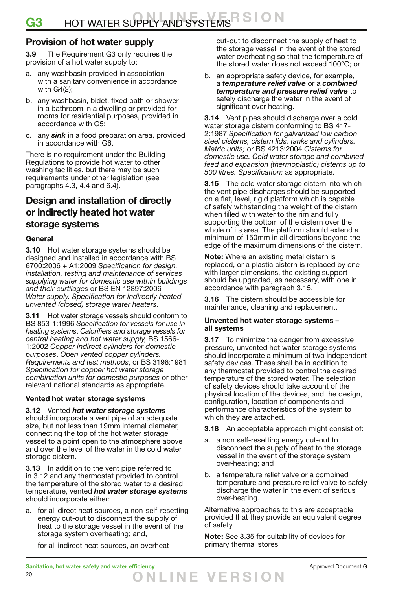### **Provision of hot water supply**

**3.9** The Requirement G3 only requires the provision of a hot water supply to:

- a. any washbasin provided in association with a sanitary convenience in accordance with G4(2);
- b. any washbasin, bidet, fixed bath or shower in a bathroom in a dwelling or provided for rooms for residential purposes, provided in accordance with G5;
- c. any *sink* in a food preparation area, provided in accordance with G6.

There is no requirement under the Building Regulations to provide hot water to other washing facilities, but there may be such requirements under other legislation (see paragraphs 4.3, 4.4 and 6.4).

### **Design and installation of directly or indirectly heated hot water storage systems**

#### **General**

**3.10** Hot water storage systems should be designed and installed in accordance with BS 6700:2006 + A1:2009 *Specification for design, installation, testing and maintenance of services supplying water for domestic use within buildings and their curtilages* or BS EN 12897:2006 *Water supply. Specification for indirectly heated unvented (closed) storage water heaters*.

**3.11** Hot water storage vessels should conform to BS 853-1:1996 *Specification for vessels for use in heating systems*. *Calorifiers and storage vessels for central heating and hot water supply,* BS 1566- 1:2002 *Copper indirect cylinders for domestic purposes*. *Open vented copper cylinders. Requirements and test methods*, or BS 3198:1981 *Specification for copper hot water storage combination units for domestic purposes* or other relevant national standards as appropriate.

#### **Vented hot water storage systems**

#### **3.12** Vented *hot water storage systems*

should incorporate a vent pipe of an adequate size, but not less than 19mm internal diameter, connecting the top of the hot water storage vessel to a point open to the atmosphere above and over the level of the water in the cold water storage cistern.

**3.13** In addition to the vent pipe referred to in 3.12 and any thermostat provided to control the temperature of the stored water to a desired temperature, vented *hot water storage systems* should incorporate either:

a. for all direct heat sources, a non-self-resetting energy cut-out to disconnect the supply of heat to the storage vessel in the event of the storage system overheating; and,

for all indirect heat sources, an overheat

cut-out to disconnect the supply of heat to the storage vessel in the event of the stored water overheating so that the temperature of the stored water does not exceed 100°C; or

b. an appropriate safety device, for example, a *temperature relief valve* or a *combined temperature and pressure relief valve* to safely discharge the water in the event of significant over heating.

**3.14** Vent pipes should discharge over a cold water storage cistern conforming to BS 417- 2:1987 *Specification for galvanized low carbon steel cisterns, cistern lids, tanks and cylinders. Metric units;* or BS 4213:2004 *Cisterns for domestic use. Cold water storage and combined feed and expansion (thermoplastic) cisterns up to 500 litres. Specification;* as appropriate.

**3.15** The cold water storage cistern into which the vent pipe discharges should be supported on a flat, level, rigid platform which is capable of safely withstanding the weight of the cistern when filled with water to the rim and fully supporting the bottom of the cistern over the whole of its area. The platform should extend a minimum of 150mm in all directions beyond the edge of the maximum dimensions of the cistern.

**Note:** Where an existing metal cistern is replaced, or a plastic cistern is replaced by one with larger dimensions, the existing support should be upgraded, as necessary, with one in accordance with paragraph 3.15.

**3.16** The cistern should be accessible for maintenance, cleaning and replacement.

#### **Unvented hot water storage systems – all systems**

**3.17** To minimize the danger from excessive pressure, unvented hot water storage systems should incorporate a minimum of two independent safety devices. These shall be in addition to any thermostat provided to control the desired temperature of the stored water. The selection of safety devices should take account of the physical location of the devices, and the design, configuration, location of components and performance characteristics of the system to which they are attached.

- **3.18** An acceptable approach might consist of:
- a. a non self-resetting energy cut-out to disconnect the supply of heat to the storage vessel in the event of the storage system over-heating; and
- b. a temperature relief valve or a combined temperature and pressure relief valve to safely discharge the water in the event of serious over-heating.

Alternative approaches to this are acceptable provided that they provide an equivalent degree of safety.

**Note:** See 3.35 for suitability of devices for primary thermal stores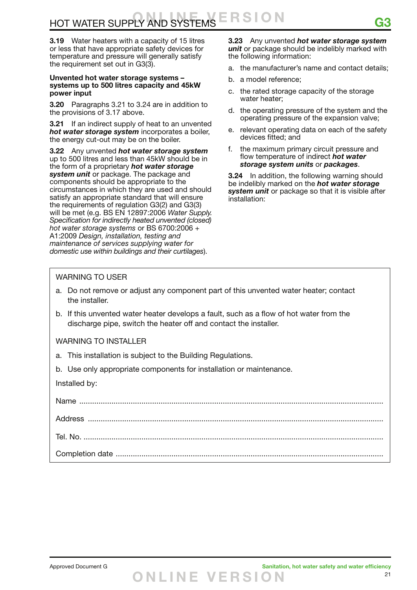**3.19** Water heaters with a capacity of 15 litres or less that have appropriate safety devices for temperature and pressure will generally satisfy the requirement set out in G3(3).

#### **Unvented hot water storage systems – systems up to 500 litres capacity and 45kW power input**

**3.20** Paragraphs 3.21 to 3.24 are in addition to the provisions of 3.17 above.

**3.21** If an indirect supply of heat to an unvented *hot water storage system* incorporates a boiler, the energy cut-out may be on the boiler.

**3.22** Any unvented *hot water storage system* up to 500 litres and less than 45kW should be in the form of a proprietary *hot water storage system unit* or package. The package and components should be appropriate to the circumstances in which they are used and should satisfy an appropriate standard that will ensure the requirements of regulation G3(2) and G3(3) will be met (e.g. BS EN 12897:2006 *Water Supply. Specification for indirectly heated unvented (closed) hot water storage systems* or BS 6700:2006 + A1:2009 *Design, installation, testing and maintenance of services supplying water for domestic use within buildings and their curtilages*).

**3.23** Any unvented *hot water storage system unit* or package should be indelibly marked with the following information:

- a. the manufacturer's name and contact details;
- b. a model reference;
- c. the rated storage capacity of the storage water heater;
- d. the operating pressure of the system and the operating pressure of the expansion valve;
- e. relevant operating data on each of the safety devices fitted; and
- f. the maximum primary circuit pressure and flow temperature of indirect *hot water storage system units* or *packages*.

**3.24** In addition, the following warning should be indelibly marked on the *hot water storage system unit* or package so that it is visible after installation:

#### WARNING TO USER

- a. Do not remove or adjust any component part of this unvented water heater; contact the installer.
- b. If this unvented water heater develops a fault, such as a flow of hot water from the discharge pipe, switch the heater off and contact the installer.

WARNING TO INSTALLER

- a. This installation is subject to the Building Regulations.
- b. Use only appropriate components for installation or maintenance.

Installed by: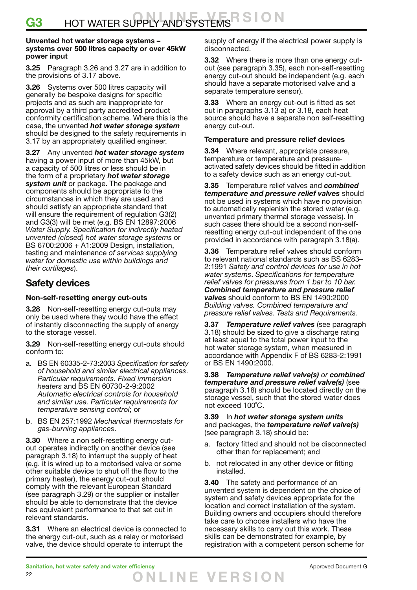#### **Unvented hot water storage systems – systems over 500 litres capacity or over 45kW power input**

**3.25** Paragraph 3.26 and 3.27 are in addition to the provisions of 3.17 above.

**3.26** Systems over 500 litres capacity will generally be bespoke designs for specific projects and as such are inappropriate for approval by a third party accredited product conformity certification scheme. Where this is the case, the unvented *hot water storage system* should be designed to the safety requirements in 3.17 by an appropriately qualified engineer.

**3.27** Any unvented *hot water storage system* having a power input of more than 45kW, but a capacity of 500 litres or less should be in the form of a proprietary *hot water storage system unit* or package. The package and components should be appropriate to the circumstances in which they are used and should satisfy an appropriate standard that will ensure the requirement of regulation G3(2) and G3(3) will be met (e.g. BS EN 12897:2006 *Water Supply. Specification for indirectly heated unvented (closed) hot water storage systems* or BS 6700:2006 + A1:2009 Design, installation, testing and maintenance *of services supplying water for domestic use within buildings and their curtilages*).

### **Safety devices**

#### **Non-self-resetting energy cut-outs**

**3.28** Non-self-resetting energy cut-outs may only be used where they would have the effect of instantly disconnecting the supply of energy to the storage vessel.

**3.29** Non-self-resetting energy cut-outs should conform to:

- a. BS EN 60335-2-73:2003 *Specification for safety of household and similar electrical appliances*. *Particular requirements. Fixed immersion heaters* and BS EN 60730-2-9:2002 *Automatic electrical controls for household and similar use. Particular requirements for temperature sensing control*; or
- b. BS EN 257:1992 *Mechanical thermostats for gas-burning appliances*.

**3.30** Where a non self-resetting energy cutout operates indirectly on another device (see paragraph 3.18) to interrupt the supply of heat (e.g. it is wired up to a motorised valve or some other suitable device to shut off the flow to the primary heater), the energy cut-out should comply with the relevant European Standard (see paragraph 3.29) or the supplier or installer should be able to demonstrate that the device has equivalent performance to that set out in relevant standards.

**3.31** Where an electrical device is connected to the energy cut-out, such as a relay or motorised valve, the device should operate to interrupt the

supply of energy if the electrical power supply is disconnected.

**3.32** Where there is more than one energy cutout (see paragraph 3.35), each non-self-resetting energy cut-out should be independent (e.g. each should have a separate motorised valve and a separate temperature sensor).

**3.33** Where an energy cut-out is fitted as set out in paragraphs 3.13 a) or 3.18, each heat source should have a separate non self-resetting energy cut-out.

#### **Temperature and pressure relief devices**

**3.34** Where relevant, appropriate pressure, temperature or temperature and pressureactivated safety devices should be fitted in addition to a safety device such as an energy cut-out.

**3.35** Temperature relief valves and *combined temperature and pressure relief valves* should not be used in systems which have no provision to automatically replenish the stored water (e.g. unvented primary thermal storage vessels). In such cases there should be a second non-selfresetting energy cut-out independent of the one provided in accordance with paragraph 3.18(a).

**3.36** Temperature relief valves should conform to relevant national standards such as BS 6283– 2:1991 *Safety and control devices for use in hot water systems*. *Specifications for temperature relief valves for pressures from 1 bar to 10 bar. Combined temperature and pressure relief valves* should conform to BS EN 1490:2000 *Building valves. Combined temperature and pressure relief valves. Tests and Requirements.*

**3.37** *Temperature relief valves* (see paragraph 3.18) should be sized to give a discharge rating at least equal to the total power input to the hot water storage system, when measured in accordance with Appendix F of BS 6283-2:1991 or BS EN 1490:2000.

**3.38** *Temperature relief valve(s) or combined temperature and pressure relief valve(s)* (see paragraph 3.18) should be located directly on the storage vessel, such that the stored water does not exceed 100˚C.

#### **3.39** In *hot water storage system units* and packages, the *temperature relief valve(s)* (see paragraph 3.18) should be:

- a. factory fitted and should not be disconnected other than for replacement; and
- b. not relocated in any other device or fitting installed.

**3.40** The safety and performance of an unvented system is dependent on the choice of system and safety devices appropriate for the location and correct installation of the system. Building owners and occupiers should therefore take care to choose installers who have the necessary skills to carry out this work. These skills can be demonstrated for example, by registration with a competent person scheme for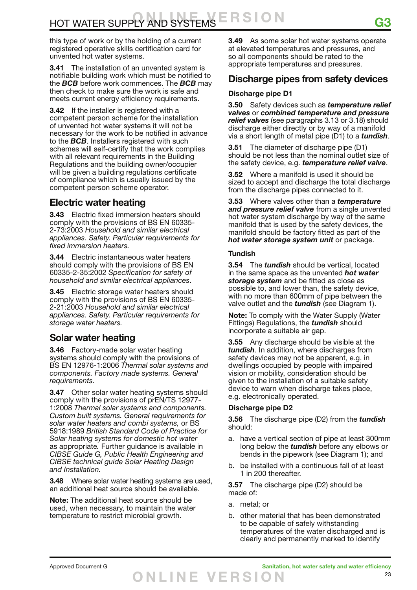this type of work or by the holding of a current registered operative skills certification card for unvented hot water systems.

**3.41** The installation of an unvented system is notifiable building work which must be notified to the *BCB* before work commences. The *BCB* may then check to make sure the work is safe and meets current energy efficiency requirements.

**3.42** If the installer is registered with a competent person scheme for the installation of unvented hot water systems it will not be necessary for the work to be notified in advance to the *BCB*. Installers registered with such schemes will self-certify that the work complies with all relevant requirements in the Building Regulations and the building owner/occupier will be given a building regulations certificate of compliance which is usually issued by the competent person scheme operator.

### **Electric water heating**

**3.43** Electric fixed immersion heaters should comply with the provisions of BS EN 60335- 2-73:2003 *Household and similar electrical appliances. Safety. Particular requirements for fixed immersion heaters.*

**3.44** Electric instantaneous water heaters should comply with the provisions of BS EN 60335-2-35:2002 *Specification for safety of household and similar electrical appliances*.

**3.45** Electric storage water heaters should comply with the provisions of BS EN 60335- 2-21:2003 *Household and similar electrical appliances. Safety. Particular requirements for storage water heaters.*

## **Solar water heating**

**3.46** Factory-made solar water heating systems should comply with the provisions of BS EN 12976-1:2006 *Thermal solar systems and components. Factory made systems. General requirements.*

**3.47** Other solar water heating systems should comply with the provisions of prEN/TS 12977- 1:2008 *Thermal solar systems and components. Custom built systems. General requirements for solar water heaters and combi systems,* or BS 5918:1989 *British Standard Code of Practice for Solar heating systems for domestic hot water*  as appropriate*.* Further guidance is available in *CIBSE Guide G, Public Health Engineering and CIBSE technical guide Solar Heating Design and Installation.*

**3.48** Where solar water heating systems are used, an additional heat source should be available.

**Note:** The additional heat source should be used, when necessary, to maintain the water temperature to restrict microbial growth.

**3.49** As some solar hot water systems operate at elevated temperatures and pressures, and so all components should be rated to the appropriate temperatures and pressures.

### **Discharge pipes from safety devices**

#### **Discharge pipe D1**

**3.50** Safety devices such as *temperature relief valves* or *combined temperature and pressure relief valves* (see paragraphs 3.13 or 3.18) should discharge either directly or by way of a manifold via a short length of metal pipe (D1) to a *tundish*.

**3.51** The diameter of discharge pipe (D1) should be not less than the nominal outlet size of the safety device, e.g. *temperature relief valve*.

**3.52** Where a manifold is used it should be sized to accept and discharge the total discharge from the discharge pipes connected to it.

**3.53** Where valves other than a *temperature and pressure relief valve* from a single unvented hot water system discharge by way of the same manifold that is used by the safety devices, the manifold should be factory fitted as part of the *hot water storage system unit* or package.

#### **Tundish**

**3.54** The *tundish* should be vertical, located in the same space as the unvented *hot water storage system* and be fitted as close as possible to, and lower than, the safety device, with no more than 600mm of pipe between the valve outlet and the *tundish* (see Diagram 1).

**Note:** To comply with the Water Supply (Water Fittings) Regulations, the *tundish* should incorporate a suitable air gap.

**3.55** Any discharge should be visible at the *tundish*. In addition, where discharges from safety devices may not be apparent, e.g. in dwellings occupied by people with impaired vision or mobility, consideration should be given to the installation of a suitable safety device to warn when discharge takes place, e.g. electronically operated.

#### **Discharge pipe D2**

**3.56** The discharge pipe (D2) from the *tundish* should:

- a. have a vertical section of pipe at least 300mm long below the *tundish* before any elbows or bends in the pipework (see Diagram 1); and
- b. be installed with a continuous fall of at least 1 in 200 thereafter.

**3.57** The discharge pipe (D2) should be made of:

- a. metal; or
- b. other material that has been demonstrated to be capable of safely withstanding temperatures of the water discharged and is clearly and permanently marked to identify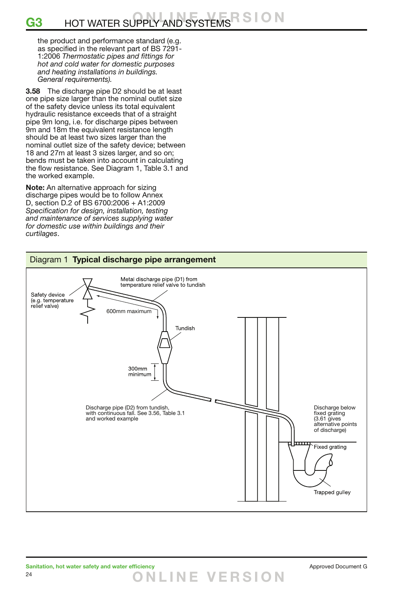#### 3 S I O N G3 HOT WATER SUPPLY AND SYSTEMS

the product and performance standard (e.g. as specified in the relevant part of BS 7291- 1:2006 *Thermostatic pipes and fittings for hot and cold water for domestic purposes and heating installations in buildings. General requirements).*

**3.58** The discharge pipe D2 should be at least one pipe size larger than the nominal outlet size of the safety device unless its total equivalent hydraulic resistance exceeds that of a straight pipe 9m long, i.e. for discharge pipes between 9m and 18m the equivalent resistance length should be at least two sizes larger than the nominal outlet size of the safety device; between 18 and 27m at least 3 sizes larger, and so on; bends must be taken into account in calculating the flow resistance. See Diagram 1, Table 3.1 and the worked example.

**Note:** An alternative approach for sizing discharge pipes would be to follow Annex D, section D.2 of BS 6700:2006 + A1:2009 *Specification for design, installation, testing and maintenance of services supplying water for domestic use within buildings and their curtilages*.



**O NLINE VER S I O N**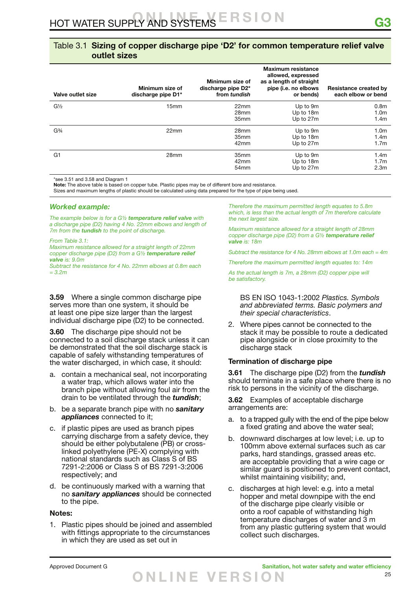#### Table 3.1 **Sizing of copper discharge pipe 'D2' for common temperature relief valve outlet sizes**

| Valve outlet size             | Minimum size of<br>discharge pipe D1* | Minimum size of<br>discharge pipe D2*<br>from tundish | <b>Maximum resistance</b><br>allowed, expressed<br>as a length of straight<br>pipe (i.e. no elbows<br>or bends) | <b>Resistance created by</b><br>each elbow or bend       |
|-------------------------------|---------------------------------------|-------------------------------------------------------|-----------------------------------------------------------------------------------------------------------------|----------------------------------------------------------|
| $G\frac{1}{2}$                | 15 <sub>mm</sub>                      | 22mm<br>28mm<br>35mm                                  | Up to 9m<br>Up to 18m<br>Up to 27m                                                                              | 0.8 <sub>m</sub><br>1.0 <sub>m</sub><br>1.4 <sub>m</sub> |
| G <sup>3</sup> / <sub>4</sub> | 22mm                                  | 28mm<br>35 <sub>mm</sub><br>42mm                      | Up to 9m<br>Up to 18m<br>Up to 27m                                                                              | 1.0 <sub>m</sub><br>1.4 <sub>m</sub><br>1.7 <sub>m</sub> |
| G <sub>1</sub>                | 28mm                                  | 35mm<br>42mm<br>54 <sub>mm</sub>                      | Up to 9m<br>Up to 18m<br>Up to 27m                                                                              | 1.4 <sub>m</sub><br>1.7 <sub>m</sub><br>2.3 <sub>m</sub> |

\*see 3.51 and 3.58 and Diagram 1

**Note:** The above table is based on copper tube. Plastic pipes may be of different bore and resistance.

Sizes and maximum lengths of plastic should be calculated using data prepared for the type of pipe being used.

#### *Worked example:*

*The example below is for a G½ temperature relief valve with a discharge pipe (D2) having 4 No. 22mm elbows and length of 7m from the tundish to the point of discharge.*

*From Table 3.1:*

*Maximum resistance allowed for a straight length of 22mm copper discharge pipe (D2) from a G½ temperature relief valve is: 9.0m*

*Subtract the resistance for 4 No. 22mm elbows at 0.8m each = 3.2m*

**3.59** Where a single common discharge pipe serves more than one system, it should be at least one pipe size larger than the largest individual discharge pipe (D2) to be connected.

**3.60** The discharge pipe should not be connected to a soil discharge stack unless it can be demonstrated that the soil discharge stack is capable of safely withstanding temperatures of the water discharged, in which case, it should:

- a. contain a mechanical seal, not incorporating a water trap, which allows water into the branch pipe without allowing foul air from the drain to be ventilated through the *tundish*;
- b. be a separate branch pipe with no *sanitary appliances* connected to it;
- c. if plastic pipes are used as branch pipes carrying discharge from a safety device, they should be either polybutalene (PB) or crosslinked polyethylene (PE-X) complying with national standards such as Class S of BS 7291-2:2006 or Class S of BS 7291-3:2006 respectively; and
- d. be continuously marked with a warning that no *sanitary appliances* should be connected to the pipe.

#### **Notes:**

1. Plastic pipes should be joined and assembled with fittings appropriate to the circumstances in which they are used as set out in

*Therefore the maximum permitted length equates to 5.8m which, is less than the actual length of 7m therefore calculate the next largest size.*

*Maximum resistance allowed for a straight length of 28mm copper discharge pipe (D2) from a G½ temperature relief valve is: 18m*

*Subtract the resistance for 4 No. 28mm elbows at 1.0m each = 4m*

*Therefore the maximum permitted length equates to: 14m*

As the actual length is 7m, a 28mm (D2) copper pipe will *be satisfactory.* 

 BS EN ISO 1043-1:2002 *Plastics. Symbols and abbreviated terms. Basic polymers and their special characteristics*.

2. Where pipes cannot be connected to the stack it may be possible to route a dedicated pipe alongside or in close proximity to the discharge stack

#### **Termination of discharge pipe**

**3.61** The discharge pipe (D2) from the *tundish* should terminate in a safe place where there is no risk to persons in the vicinity of the discharge.

**3.62** Examples of acceptable discharge arrangements are:

- a. to a trapped gully with the end of the pipe below a fixed grating and above the water seal;
- b. downward discharges at low level; i.e. up to 100mm above external surfaces such as car parks, hard standings, grassed areas etc. are acceptable providing that a wire cage or similar guard is positioned to prevent contact, whilst maintaining visibility; and,
- c. discharges at high level: e.g. into a metal hopper and metal downpipe with the end of the discharge pipe clearly visible or onto a roof capable of withstanding high temperature discharges of water and 3 m from any plastic guttering system that would collect such discharges.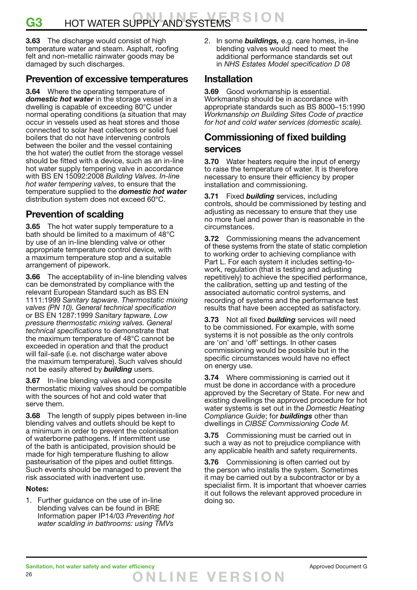## **G3** HOT WATER SUPPLY AND SYSTEMS R S I O N

**3.63** The discharge would consist of high temperature water and steam. Asphalt, roofing felt and non-metallic rainwater goods may be damaged by such discharges.

### **Prevention of excessive temperatures**

**3.64** Where the operating temperature of *domestic hot water* in the storage vessel in a dwelling is capable of exceeding 80°C under normal operating conditions (a situation that may occur in vessels used as heat stores and those connected to solar heat collectors or solid fuel boilers that do not have intervening controls between the boiler and the vessel containing the hot water) the outlet from the storage vessel should be fitted with a device, such as an in-line hot water supply tempering valve in accordance with BS EN 15092:2008 *Building Valves. In-line hot water tempering valves*, to ensure that the temperature supplied to the *domestic hot water* distribution system does not exceed 60°C.

## **Prevention of scalding**

**3.65** The hot water supply temperature to a bath should be limited to a maximum of 48°C by use of an in-line blending valve or other appropriate temperature control device, with a maximum temperature stop and a suitable arrangement of pipework.

**3.66** The acceptability of in-line blending valves can be demonstrated by compliance with the relevant European Standard such as BS EN 1111:1999 *Sanitary tapware. Thermostatic mixing valves (PN 10). General technical specification*  or BS EN 1287:1999 *Sanitary tapware. Low pressure thermostatic mixing valves. General technical specifications* to demonstrate that the maximum temperature of 48°C cannot be exceeded in operation and that the product will fail-safe (i.e. not discharge water above the maximum temperature). Such valves should not be easily altered by *building* users.

**3.67** In-line blending valves and composite thermostatic mixing valves should be compatible with the sources of hot and cold water that serve them.

**3.68** The length of supply pipes between in-line blending valves and outlets should be kept to a minimum in order to prevent the colonisation of waterborne pathogens. If intermittent use of the bath is anticipated, provision should be made for high temperature flushing to allow pasteurisation of the pipes and outlet fittings. Such events should be managed to prevent the risk associated with inadvertent use.

#### **Notes:**

1. Further guidance on the use of in-line blending valves can be found in BRE Information paper IP14/03 *Preventing hot water scalding in bathrooms: using TMVs*

2. In some *buildings,* e.g. care homes, in-line blending valves would need to meet the additional performance standards set out in *NHS Estates Model specification D 08* 

### **Installation**

**3.69** Good workmanship is essential. Workmanship should be in accordance with appropriate standards such as BS 8000–15:1990 *Workmanship on Building Sites Code of practice for hot and cold water services (domestic scale).*

### **Commissioning of fixed building services**

**3.70** Water heaters require the input of energy to raise the temperature of water. It is therefore necessary to ensure their efficiency by proper installation and commissioning.

**3.71** Fixed *building* services, including controls, should be commissioned by testing and adjusting as necessary to ensure that they use no more fuel and power than is reasonable in the circumstances.

**3.72** Commissioning means the advancement of these systems from the state of static completion to working order to achieving compliance with Part L. For each system it includes setting-towork, regulation (that is testing and adjusting repetitively) to achieve the specified performance, the calibration, setting up and testing of the associated automatic control systems, and recording of systems and the performance test results that have been accepted as satisfactory.

**3.73** Not all fixed *building* services will need to be commissioned. For example, with some systems it is not possible as the only controls are 'on' and 'off' settings. In other cases commissioning would be possible but in the specific circumstances would have no effect on energy use.

**3.74** Where commissioning is carried out it must be done in accordance with a procedure approved by the Secretary of State. For new and existing dwellings the approved procedure for hot water systems is set out in the *Domestic Heating Compliance Guide*; for *buildings* other than dwellings in *CIBSE Commissioning Code M.*

**3.75** Commissioning must be carried out in such a way as not to prejudice compliance with any applicable health and safety requirements.

**3.76** Commissioning is often carried out by the person who installs the system. Sometimes it may be carried out by a subcontractor or by a specialist firm. It is important that whoever carries it out follows the relevant approved procedure in doing so.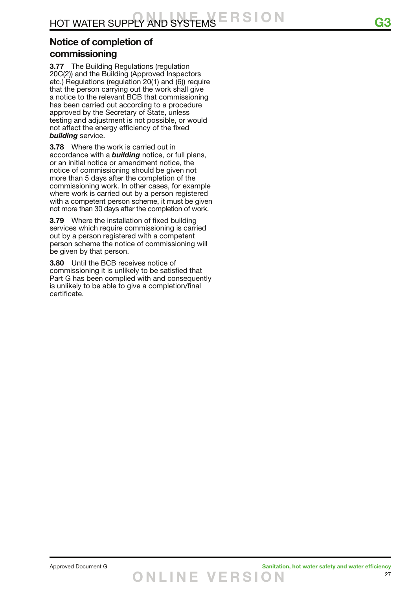## **Notice of completion of**

### **commissioning**

**3.77** The Building Regulations (regulation 20C(2)) and the Building (Approved Inspectors etc.) Regulations (regulation 20(1) and (6)) require that the person carrying out the work shall give a notice to the relevant BCB that commissioning has been carried out according to a procedure approved by the Secretary of State, unless testing and adjustment is not possible, or would not affect the energy efficiency of the fixed *building* service.

**3.78** Where the work is carried out in accordance with a *building* notice, or full plans, or an initial notice or amendment notice, the notice of commissioning should be given not more than 5 days after the completion of the commissioning work. In other cases, for example where work is carried out by a person registered with a competent person scheme, it must be given not more than 30 days after the completion of work.

**3.79** Where the installation of fixed building services which require commissioning is carried out by a person registered with a competent person scheme the notice of commissioning will be given by that person.

**3.80** Until the BCB receives notice of commissioning it is unlikely to be satisfied that Part G has been complied with and consequently is unlikely to be able to give a completion/final certificate.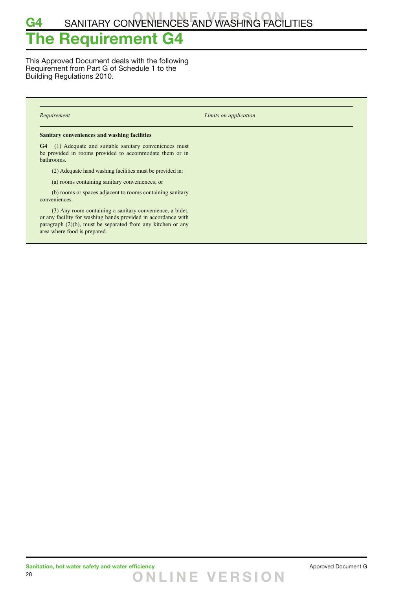## **G4** SANITARY CONVENIENCES AND WASHING FACILITIES

## **The Requirement G4**

This Approved Document deals with the following Requirement from Part G of Schedule 1 to the Building Regulations 2010.

*Requirement Limits on application*

#### **Sanitary conveniences and washing facilities**

**G4** (1) Adequate and suitable sanitary conveniences must be provided in rooms provided to accommodate them or in bathrooms.

(2) Adequate hand washing facilities must be provided in:

(a) rooms containing sanitary conveniences; or

 (b) rooms or spaces adjacent to rooms containing sanitary conveniences.

 (3) Any room containing a sanitary convenience, a bidet, or any facility for washing hands provided in accordance with paragraph (2)(b), must be separated from any kitchen or any area where food is prepared.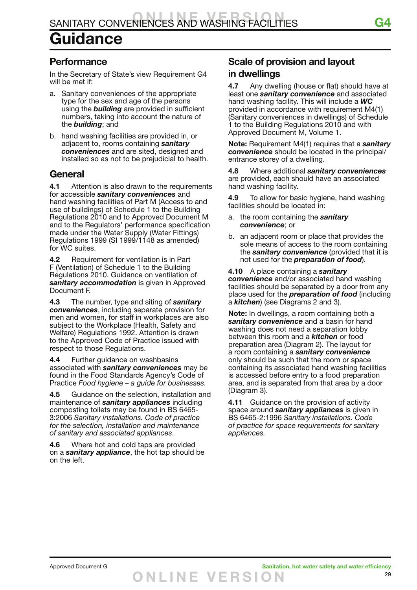### **Performance**

In the Secretary of State's view Requirement G4 will be met if:

- a. Sanitary conveniences of the appropriate type for the sex and age of the persons using the *building* are provided in sufficient numbers, taking into account the nature of the *building*; and
- b. hand washing facilities are provided in, or adjacent to, rooms containing *sanitary conveniences* and are sited, designed and installed so as not to be prejudicial to health.

### **General**

**4.1** Attention is also drawn to the requirements for accessible *sanitary conveniences* and hand washing facilities of Part M (Access to and use of buildings) of Schedule 1 to the Building Regulations 2010 and to Approved Document M and to the Regulators' performance specification made under the Water Supply (Water Fittings) Regulations 1999 (SI 1999/1148 as amended) for WC suites.

**4.2** Requirement for ventilation is in Part F (Ventilation) of Schedule 1 to the Building Regulations 2010. Guidance on ventilation of *sanitary accommodation* is given in Approved Document F.

**4.3** The number, type and siting of *sanitary conveniences*, including separate provision for men and women, for staff in workplaces are also subject to the Workplace (Health, Safety and Welfare) Regulations 1992. Attention is drawn to the Approved Code of Practice issued with respect to those Regulations.

**4.4** Further guidance on washbasins associated with *sanitary conveniences* may be found in the Food Standards Agency's Code of Practice *Food hygiene – a guide for businesses.*

**4.5** Guidance on the selection, installation and maintenance of *sanitary appliances* including composting toilets may be found in BS 6465- 3:2006 *Sanitary installations. Code of practice for the selection, installation and maintenance of sanitary and associated appliances*.

**4.6** Where hot and cold taps are provided on a *sanitary appliance*, the hot tap should be on the left.

## **Scale of provision and layout in dwellings**

**4.7** Any dwelling (house or flat) should have at least one *sanitary convenience* and associated hand washing facility. This will include a *WC* provided in accordance with requirement M4(1) (Sanitary conveniences in dwellings) of Schedule 1 to the Building Regulations 2010 and with Approved Document M, Volume 1.

**Note:** Requirement M4(1) requires that a *sanitary convenience* should be located in the principal/ entrance storey of a dwelling.

**4.8** Where additional *sanitary conveniences* are provided, each should have an associated hand washing facility.

**4.9** To allow for basic hygiene, hand washing facilities should be located in:

- a. the room containing the *sanitary convenience*; or
- b. an adjacent room or place that provides the sole means of access to the room containing the *sanitary convenience* (provided that it is not used for the *preparation of food*).

**4.10** A place containing a *sanitary convenience* and/or associated hand washing facilities should be separated by a door from any place used for the *preparation of food* (including a *kitchen*) (see Diagrams 2 and 3).

**Note:** In dwellings, a room containing both a *sanitary convenience* and a basin for hand washing does not need a separation lobby between this room and a *kitchen* or food preparation area (Diagram 2). The layout for a room containing a *sanitary convenience* only should be such that the room or space containing its associated hand washing facilities is accessed before entry to a food preparation area, and is separated from that area by a door (Diagram 3).

**4.11** Guidance on the provision of activity space around *sanitary appliances* is given in BS 6465-2:1996 *Sanitary installations*. *Code of practice for space requirements for sanitary appliances.*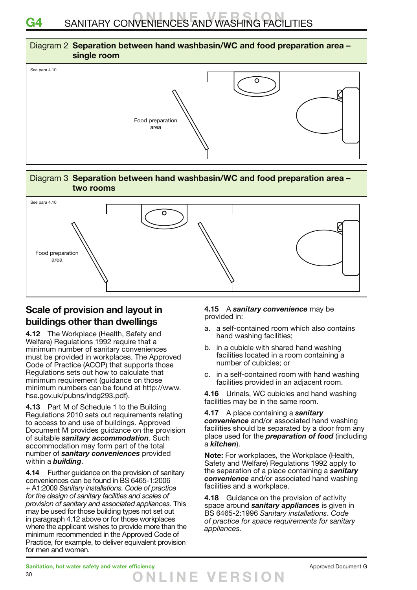## **G4** SANITARY CONVENIENCES AND WASHING FACILITIES

#### Diagram 2 **Separation between hand washbasin/WC and food preparation area – single room**



#### Diagram 3 **Separation between hand washbasin/WC and food preparation area – two rooms**



### **Scale of provision and layout in buildings other than dwellings**

**4.12** The Workplace (Health, Safety and Welfare) Regulations 1992 require that a minimum number of sanitary conveniences must be provided in workplaces. The Approved Code of Practice (ACOP) that supports those Regulations sets out how to calculate that minimum requirement (guidance on those minimum numbers can be found at http://www. hse.gov.uk/pubns/indg293.pdf).

**4.13** Part M of Schedule 1 to the Building Regulations 2010 sets out requirements relating to access to and use of buildings. Approved Document M provides guidance on the provision of suitable *sanitary accommodation*. Such accommodation may form part of the total number of *sanitary conveniences* provided within a *building*.

**4.14** Further guidance on the provision of sanitary conveniences can be found in BS 6465-1:2006 + A1:2009 *Sanitary installations. Code of practice for the design of sanitary facilities and scales of provision of sanitary and associated appliances.* This may be used for those building types not set out in paragraph 4.12 above or for those workplaces where the applicant wishes to provide more than the minimum recommended in the Approved Code of Practice, for example, to deliver equivalent provision for men and women.

#### **4.15** A *sanitary convenience* may be provided in:

- a. a self-contained room which also contains hand washing facilities;
- b. in a cubicle with shared hand washing facilities located in a room containing a number of cubicles; or
- c. in a self-contained room with hand washing facilities provided in an adjacent room.

**4.16** Urinals, WC cubicles and hand washing facilities may be in the same room.

**4.17** A place containing a *sanitary convenience* and/or associated hand washing facilities should be separated by a door from any place used for the *preparation of food* (including a *kitchen*).

**Note:** For workplaces, the Workplace (Health, Safety and Welfare) Regulations 1992 apply to the separation of a place containing a *sanitary convenience* and/or associated hand washing facilities and a workplace.

**4.18** Guidance on the provision of activity space around *sanitary appliances* is given in BS 6465-2:1996 *Sanitary installations*. *Code of practice for space requirements for sanitary appliances.*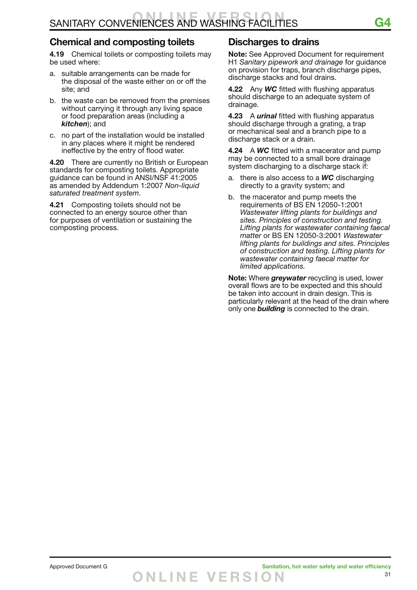### **Chemical and composting toilets**

**4.19** Chemical toilets or composting toilets may be used where:

- a. suitable arrangements can be made for the disposal of the waste either on or off the site; and
- b. the waste can be removed from the premises without carrying it through any living space or food preparation areas (including a *kitchen*); and
- c. no part of the installation would be installed in any places where it might be rendered ineffective by the entry of flood water.

**4.20** There are currently no British or European standards for composting toilets. Appropriate guidance can be found in ANSI/NSF 41:2005 as amended by Addendum 1:2007 *Non-liquid saturated treatment system*.

**4.21** Composting toilets should not be connected to an energy source other than for purposes of ventilation or sustaining the composting process.

### **Discharges to drains**

**Note:** See Approved Document for requirement H1 *Sanitary pipework and drainage* for guidance on provision for traps, branch discharge pipes, discharge stacks and foul drains.

**4.22** Any *WC* fitted with flushing apparatus should discharge to an adequate system of drainage.

**4.23** A *urinal* fitted with flushing apparatus should discharge through a grating, a trap or mechanical seal and a branch pipe to a discharge stack or a drain.

**4.24** A *WC* fitted with a macerator and pump may be connected to a small bore drainage system discharging to a discharge stack if:

- a. there is also access to a *WC* discharging directly to a gravity system; and
- b. the macerator and pump meets the requirements of BS EN 12050-1:2001 *Wastewater lifting plants for buildings and sites. Principles of construction and testing. Lifting plants for wastewater containing faecal matter* or BS EN 12050-3:2001 *Wastewater lifting plants for buildings and sites. Principles of construction and testing. Lifting plants for wastewater containing faecal matter for limited applications.*

**Note:** Where *greywater* recycling is used, lower overall flows are to be expected and this should be taken into account in drain design. This is particularly relevant at the head of the drain where only one *building* is connected to the drain.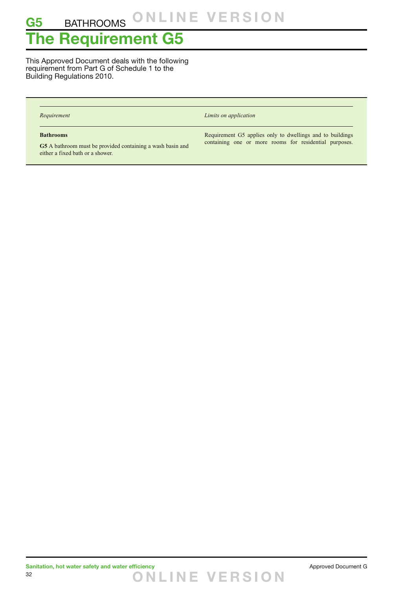## **The Requirement G5**

This Approved Document deals with the following requirement from Part G of Schedule 1 to the Building Regulations 2010.

| Requirement                                                                                                        | Limits on application                                                                                               |
|--------------------------------------------------------------------------------------------------------------------|---------------------------------------------------------------------------------------------------------------------|
| <b>Bathrooms</b><br>G5 A bathroom must be provided containing a wash basin and<br>either a fixed bath or a shower. | Requirement G5 applies only to dwellings and to buildings<br>containing one or more rooms for residential purposes. |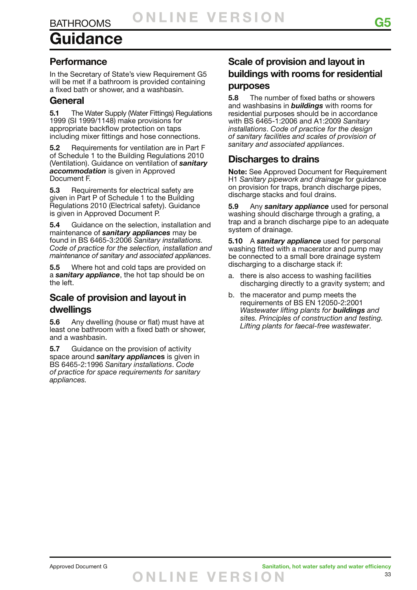# **Guidance**

### **Performance**

In the Secretary of State's view Requirement G5 will be met if a bathroom is provided containing a fixed bath or shower, and a washbasin.

### **General**

**5.1** The Water Supply (Water Fittings) Regulations 1999 (SI 1999/1148) make provisions for appropriate backflow protection on taps including mixer fittings and hose connections.

**5.2** Requirements for ventilation are in Part F of Schedule 1 to the Building Regulations 2010 (Ventilation). Guidance on ventilation of *sanitary accommodation* is given in Approved Document F.

**5.3** Requirements for electrical safety are given in Part P of Schedule 1 to the Building Regulations 2010 (Electrical safety). Guidance is given in Approved Document P.

**5.4** Guidance on the selection, installation and maintenance of *sanitary appliances* may be found in BS 6465-3:2006 *Sanitary installations. Code of practice for the selection, installation and maintenance of sanitary and associated appliances*.

**5.5** Where hot and cold taps are provided on a *sanitary appliance*, the hot tap should be on the left.

### **Scale of provision and layout in dwellings**

**5.6** Any dwelling (house or flat) must have at least one bathroom with a fixed bath or shower, and a washbasin.

**5.7** Guidance on the provision of activity space around *sanitary applianc***es** is given in BS 6465-2:1996 *Sanitary installations*. *Code of practice for space requirements for sanitary appliances.*

### **Scale of provision and layout in buildings with rooms for residential purposes**

**5.8** The number of fixed baths or showers and washbasins in *buildings* with rooms for residential purposes should be in accordance with BS 6465-1:2006 and A1:2009 *Sanitary installations*. *Code of practice for the design of sanitary facilities and scales of provision of sanitary and associated appliances*.

### **Discharges to drains**

**Note:** See Approved Document for Requirement H1 *Sanitary pipework and drainage* for guidance on provision for traps, branch discharge pipes, discharge stacks and foul drains.

**5.9** Any *sanitary appliance* used for personal washing should discharge through a grating, a trap and a branch discharge pipe to an adequate system of drainage.

**5.10** A *sanitary appliance* used for personal washing fitted with a macerator and pump may be connected to a small bore drainage system discharging to a discharge stack if:

- a. there is also access to washing facilities discharging directly to a gravity system; and
- b. the macerator and pump meets the requirements of BS EN 12050-2:2001 *Wastewater lifting plants for buildings and sites. Principles of construction and testing. Lifting plants for faecal-free wastewater*.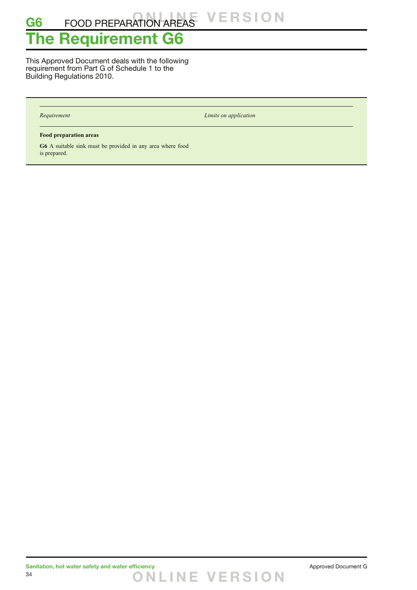## **The Requirement G6**

This Approved Document deals with the following requirement from Part G of Schedule 1 to the Building Regulations 2010.

*Requirement Limits on application*

#### **Food preparation areas**

**G6** A suitable sink must be provided in any area where food is prepared.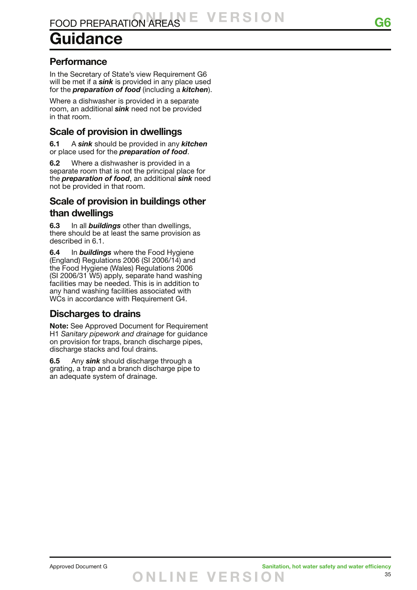# **Guidance**

### **Performance**

In the Secretary of State's view Requirement G6 will be met if a *sink* is provided in any place used for the *preparation of food* (including a *kitchen*).

Where a dishwasher is provided in a separate room, an additional *sink* need not be provided in that room.

### **Scale of provision in dwellings**

**6.1** A *sink* should be provided in any *kitchen* or place used for the *preparation of food*.

**6.2** Where a dishwasher is provided in a separate room that is not the principal place for the *preparation of food*, an additional *sink* need not be provided in that room.

### **Scale of provision in buildings other than dwellings**

**6.3** In all *buildings* other than dwellings, there should be at least the same provision as described in 6.1.

**6.4** In *buildings* where the Food Hygiene (England) Regulations 2006 (SI 2006/14) and the Food Hygiene (Wales) Regulations 2006 (SI 2006/31 W5) apply, separate hand washing facilities may be needed. This is in addition to any hand washing facilities associated with WCs in accordance with Requirement G4.

### **Discharges to drains**

**Note:** See Approved Document for Requirement H1 *Sanitary pipework and drainage* for guidance on provision for traps, branch discharge pipes, discharge stacks and foul drains.

**6.5** Any *sink* should discharge through a grating, a trap and a branch discharge pipe to an adequate system of drainage.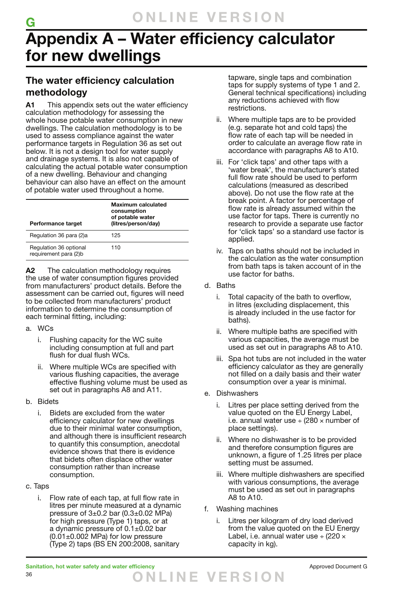## **Appendix A – Water efficiency calculator for new dwellings**

## **The water efficiency calculation methodology**

**A1** This appendix sets out the water efficiency calculation methodology for assessing the whole house potable water consumption in new dwellings. The calculation methodology is to be used to assess compliance against the water performance targets in Regulation 36 as set out below. It is not a design tool for water supply and drainage systems. It is also not capable of calculating the actual potable water consumption of a new dwelling. Behaviour and changing behaviour can also have an effect on the amount of potable water used throughout a home.

| Performance target                              | Maximum calculated<br>consumption<br>of potable water<br>(litres/person/day) |  |  |
|-------------------------------------------------|------------------------------------------------------------------------------|--|--|
| Regulation 36 para (2)a                         | 125                                                                          |  |  |
| Regulation 36 optional<br>requirement para (2)b | 110                                                                          |  |  |

**A2** The calculation methodology requires the use of water consumption figures provided from manufacturers' product details. Before the assessment can be carried out, figures will need to be collected from manufacturers' product information to determine the consumption of each terminal fitting, including:

#### a. WCs

**G**

- i. Flushing capacity for the WC suite including consumption at full and part flush for dual flush WCs.
- ii. Where multiple WCs are specified with various flushing capacities, the average effective flushing volume must be used as set out in paragraphs A8 and A11.

### b. Bidets

- i. Bidets are excluded from the water efficiency calculator for new dwellings due to their minimal water consumption, and although there is insufficient research to quantify this consumption, anecdotal evidence shows that there is evidence that bidets often displace other water consumption rather than increase consumption.
- c. Taps
	- i. Flow rate of each tap, at full flow rate in litres per minute measured at a dynamic pressure of  $3\pm0.2$  bar (0.3 $\pm0.02$  MPa) for high pressure (Type 1) taps, or at a dynamic pressure of 0.1±0.02 bar  $(0.01\pm0.002$  MPa) for low pressure (Type 2) taps (BS EN 200:2008, sanitary

tapware, single taps and combination taps for supply systems of type 1 and 2. General technical specifications) including any reductions achieved with flow restrictions.

- ii. Where multiple taps are to be provided (e.g. separate hot and cold taps) the flow rate of each tap will be needed in order to calculate an average flow rate in accordance with paragraphs A8 to A10.
- iii. For 'click taps' and other taps with a 'water break', the manufacturer's stated full flow rate should be used to perform calculations (measured as described above). Do not use the flow rate at the break point. A factor for percentage of flow rate is already assumed within the use factor for taps. There is currently no research to provide a separate use factor for 'click taps' so a standard use factor is applied.
- iv. Taps on baths should not be included in the calculation as the water consumption from bath taps is taken account of in the use factor for baths.
- d. Baths
	- i. Total capacity of the bath to overflow, in litres (excluding displacement, this is already included in the use factor for baths).
	- ii. Where multiple baths are specified with various capacities, the average must be used as set out in paragraphs A8 to A10.
	- iii. Spa hot tubs are not included in the water efficiency calculator as they are generally not filled on a daily basis and their water consumption over a year is minimal.
- e. Dishwashers
	- i. Litres per place setting derived from the value quoted on the EU Energy Label, i.e. annual water use  $\div$  (280  $\times$  number of place settings).
	- ii. Where no dishwasher is to be provided and therefore consumption figures are unknown, a figure of 1.25 litres per place setting must be assumed.
	- iii. Where multiple dishwashers are specified with various consumptions, the average must be used as set out in paragraphs A8 to A10.
- f. Washing machines
	- i. Litres per kilogram of dry load derived from the value quoted on the EU Energy Label, i.e. annual water use  $\div$  (220  $\times$ capacity in kg).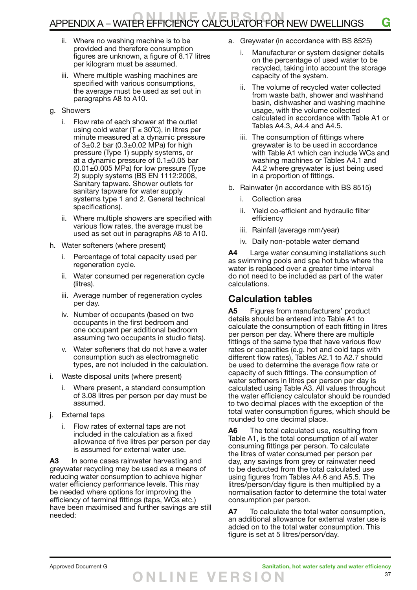## APPENDIX A – WATER EFFICIENCY CALCULATOR FOR NEW DWELLINGS **G**

- ii. Where no washing machine is to be provided and therefore consumption figures are unknown, a figure of 8.17 litres per kilogram must be assumed.
- iii. Where multiple washing machines are specified with various consumptions, the average must be used as set out in paragraphs A8 to A10.
- g. Showers
	- i. Flow rate of each shower at the outlet using cold water ( $T \le 30^{\circ}$ C), in litres per minute measured at a dynamic pressure of  $3\pm0.2$  bar  $(0.3\pm0.02$  MPa) for high pressure (Type 1) supply systems, or at a dynamic pressure of  $0.1\pm0.05$  bar  $(0.01\pm0.005$  MPa) for low pressure (Type 2) supply systems (BS EN 1112:2008, Sanitary tapware. Shower outlets for sanitary tapware for water supply systems type 1 and 2. General technical specifications).
	- ii. Where multiple showers are specified with various flow rates, the average must be used as set out in paragraphs A8 to A10.
- h. Water softeners (where present)
	- i. Percentage of total capacity used per regeneration cycle.
	- ii. Water consumed per regeneration cycle (litres).
	- iii. Average number of regeneration cycles per day.
	- iv. Number of occupants (based on two occupants in the first bedroom and one occupant per additional bedroom assuming two occupants in studio flats).
	- v. Water softeners that do not have a water consumption such as electromagnetic types, are not included in the calculation.
- i. Waste disposal units (where present)
	- Where present, a standard consumption of 3.08 litres per person per day must be assumed.
- j. External taps
	- i. Flow rates of external taps are not included in the calculation as a fixed allowance of five litres per person per day is assumed for external water use.

**A3** In some cases rainwater harvesting and greywater recycling may be used as a means of reducing water consumption to achieve higher water efficiency performance levels. This may be needed where options for improving the efficiency of terminal fittings (taps, WCs etc.) have been maximised and further savings are still needed:

- a. Greywater (in accordance with BS 8525)
	- Manufacturer or system designer details on the percentage of used water to be recycled, taking into account the storage capacity of the system.
	- ii. The volume of recycled water collected from waste bath, shower and washhand basin, dishwasher and washing machine usage, with the volume collected calculated in accordance with Table A1 or Tables A4.3, A4.4 and A4.5.
	- iii. The consumption of fittings where greywater is to be used in accordance with Table A1 which can include WCs and washing machines or Tables A4.1 and A4.2 where greywater is just being used in a proportion of fittings.
- b. Rainwater (in accordance with BS 8515)
	- i. Collection area
	- ii. Yield co-efficient and hydraulic filter efficiency
	- iii. Rainfall (average mm/year)
	- iv. Daily non-potable water demand

**A4** Large water consuming installations such as swimming pools and spa hot tubs where the water is replaced over a greater time interval do not need to be included as part of the water calculations.

### **Calculation tables**

**A5** Figures from manufacturers' product details should be entered into Table A1 to calculate the consumption of each fitting in litres per person per day. Where there are multiple fittings of the same type that have various flow rates or capacities (e.g. hot and cold taps with different flow rates), Tables A2.1 to A2.7 should be used to determine the average flow rate or capacity of such fittings. The consumption of water softeners in litres per person per day is calculated using Table A3. All values throughout the water efficiency calculator should be rounded to two decimal places with the exception of the total water consumption figures, which should be rounded to one decimal place.

**A6** The total calculated use, resulting from Table A1, is the total consumption of all water consuming fittings per person. To calculate the litres of water consumed per person per day, any savings from grey or rainwater need to be deducted from the total calculated use using figures from Tables A4.6 and A5.5. The litres/person/day figure is then multiplied by a normalisation factor to determine the total water consumption per person.

**A7** To calculate the total water consumption, an additional allowance for external water use is added on to the total water consumption. This figure is set at 5 litres/person/day.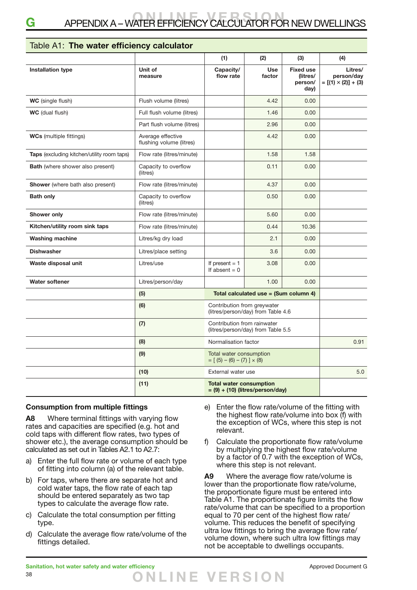### Table A1: **The water efficiency calculator**

|                                            |                                               | (1)                                                               | (2)                                   | (3)                                             | (4)                                                 |
|--------------------------------------------|-----------------------------------------------|-------------------------------------------------------------------|---------------------------------------|-------------------------------------------------|-----------------------------------------------------|
| <b>Installation type</b>                   | Unit of<br>measure                            | Capacity/<br>flow rate                                            | <b>Use</b><br>factor                  | <b>Fixed use</b><br>(litres/<br>person/<br>day) | Litres/<br>person/day<br>$= [(1) \times (2)] + (3)$ |
| <b>WC</b> (single flush)                   | Flush volume (litres)                         |                                                                   | 4.42                                  | 0.00                                            |                                                     |
| <b>WC</b> (dual flush)                     | Full flush volume (litres)                    |                                                                   | 1.46                                  | 0.00                                            |                                                     |
|                                            | Part flush volume (litres)                    |                                                                   | 2.96                                  | 0.00                                            |                                                     |
| <b>WCs</b> (multiple fittings)             | Average effective<br>flushing volume (litres) |                                                                   | 4.42                                  | 0.00                                            |                                                     |
| Taps (excluding kitchen/utility room taps) | Flow rate (litres/minute)                     |                                                                   | 1.58                                  | 1.58                                            |                                                     |
| <b>Bath</b> (where shower also present)    | Capacity to overflow<br>(litres)              |                                                                   | 0.11                                  | 0.00                                            |                                                     |
| <b>Shower</b> (where bath also present)    | Flow rate (litres/minute)                     |                                                                   | 4.37                                  | 0.00                                            |                                                     |
| <b>Bath only</b>                           | Capacity to overflow<br>(litres)              |                                                                   | 0.50                                  | 0.00                                            |                                                     |
| Shower only                                | Flow rate (litres/minute)                     |                                                                   | 5.60                                  | 0.00                                            |                                                     |
| Kitchen/utility room sink taps             | Flow rate (litres/minute)                     |                                                                   | 0.44                                  | 10.36                                           |                                                     |
| <b>Washing machine</b>                     | Litres/kg dry load                            |                                                                   | 2.1                                   | 0.00                                            |                                                     |
| <b>Dishwasher</b>                          | Litres/place setting                          |                                                                   | 3.6                                   | 0.00                                            |                                                     |
| Waste disposal unit                        | Litres/use                                    | If present $= 1$<br>If absent $= 0$                               | 3.08                                  | 0.00                                            |                                                     |
| <b>Water softener</b>                      | Litres/person/day                             |                                                                   | 1.00                                  | 0.00                                            |                                                     |
|                                            | (5)                                           |                                                                   | Total calculated use = (Sum column 4) |                                                 |                                                     |
|                                            | (6)                                           | Contribution from greywater<br>(litres/person/day) from Table 4.6 |                                       |                                                 |                                                     |
|                                            | (7)                                           | Contribution from rainwater<br>(litres/person/day) from Table 5.5 |                                       |                                                 |                                                     |
|                                            | (8)                                           | Normalisation factor                                              |                                       | 0.91                                            |                                                     |
|                                            | (9)                                           | Total water consumption<br>$= [(5) - (6) - (7)] \times (8)$       |                                       |                                                 |                                                     |
|                                            | (10)                                          | External water use                                                |                                       | 5.0                                             |                                                     |
|                                            | (11)                                          | <b>Total water consumption</b>                                    | $= (9) + (10)$ (litres/person/day)    |                                                 |                                                     |

#### **Consumption from multiple fittings**

**A8** Where terminal fittings with varying flow rates and capacities are specified (e.g. hot and cold taps with different flow rates, two types of shower etc.), the average consumption should be calculated as set out in Tables A2.1 to A2.7:

- a) Enter the full flow rate or volume of each type of fitting into column (a) of the relevant table.
- b) For taps, where there are separate hot and cold water taps, the flow rate of each tap should be entered separately as two tap types to calculate the average flow rate.
- c) Calculate the total consumption per fitting type.
- d) Calculate the average flow rate/volume of the fittings detailed.
- e) Enter the flow rate/volume of the fitting with the highest flow rate/volume into box (f) with the exception of WCs, where this step is not relevant.
- f) Calculate the proportionate flow rate/volume by multiplying the highest flow rate/volume by a factor of 0.7 with the exception of WCs, where this step is not relevant.

**A9** Where the average flow rate/volume is lower than the proportionate flow rate/volume, the proportionate figure must be entered into Table A1. The proportionate figure limits the flow rate/volume that can be specified to a proportion equal to 70 per cent of the highest flow rate/ volume. This reduces the benefit of specifying ultra low fittings to bring the average flow rate/ volume down, where such ultra low fittings may not be acceptable to dwellings occupants.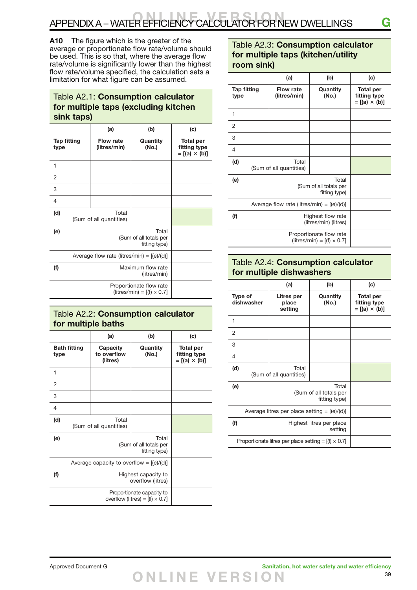**A10** The figure which is the greater of the average or proportionate flow rate/volume should be used. This is so that, where the average flow rate/volume is significantly lower than the highest flow rate/volume specified, the calculation sets a limitation for what figure can be assumed.

### Table A2.1: **Consumption calculator for multiple taps (excluding kitchen sink taps)**

|                                              |                                                              | (a)                              | (b)               | (c)                                                      |
|----------------------------------------------|--------------------------------------------------------------|----------------------------------|-------------------|----------------------------------------------------------|
| <b>Tap fitting</b><br>type                   |                                                              | Flow rate<br>(litres/min)        | Quantity<br>(No.) | <b>Total per</b><br>fitting type<br>$= [(a) \times (b)]$ |
| 1                                            |                                                              |                                  |                   |                                                          |
| 2                                            |                                                              |                                  |                   |                                                          |
| 3                                            |                                                              |                                  |                   |                                                          |
| $\overline{4}$                               |                                                              |                                  |                   |                                                          |
| (d)                                          |                                                              | Total<br>(Sum of all quantities) |                   |                                                          |
| (e)                                          | Total<br>(Sum of all totals per<br>fitting type)             |                                  |                   |                                                          |
| Average flow rate (litres/min) = $[(e)/(d)]$ |                                                              |                                  |                   |                                                          |
| (f)                                          | Maximum flow rate<br>(litres/min)                            |                                  |                   |                                                          |
|                                              | Proportionate flow rate<br>$(litres/min) = [(f) \times 0.7]$ |                                  |                   |                                                          |

### Table A2.2: **Consumption calculator for multiple baths**

|                                                                     | (a)                                              | (b)               | (c)                                                      |
|---------------------------------------------------------------------|--------------------------------------------------|-------------------|----------------------------------------------------------|
| <b>Bath fitting</b><br>type                                         | Capacity<br>to overflow<br>(litres)              | Quantity<br>(No.) | <b>Total per</b><br>fitting type<br>$= [(a) \times (b)]$ |
| 1                                                                   |                                                  |                   |                                                          |
| 2                                                                   |                                                  |                   |                                                          |
| 3                                                                   |                                                  |                   |                                                          |
| $\overline{4}$                                                      |                                                  |                   |                                                          |
| (d)                                                                 | Total<br>(Sum of all quantities)                 |                   |                                                          |
| (e)                                                                 | Total<br>(Sum of all totals per<br>fitting type) |                   |                                                          |
|                                                                     | Average capacity to overflow = $[(e)/(d)]$       |                   |                                                          |
| (f)                                                                 | Highest capacity to<br>overflow (litres)         |                   |                                                          |
| Proportionate capacity to<br>overflow (litres) = $[(f) \times 0.7]$ |                                                  |                   |                                                          |

### Table A2.3: **Consumption calculator for multiple taps (kitchen/utility room sink)**

|                                                              | (a)                                              | (b)               | (c)                                                      |
|--------------------------------------------------------------|--------------------------------------------------|-------------------|----------------------------------------------------------|
| <b>Tap fitting</b><br>type                                   | <b>Flow rate</b><br>(litres/min)                 | Quantity<br>(No.) | <b>Total per</b><br>fitting type<br>$= [(a) \times (b)]$ |
| 1                                                            |                                                  |                   |                                                          |
| $\overline{2}$                                               |                                                  |                   |                                                          |
| 3                                                            |                                                  |                   |                                                          |
| 4                                                            |                                                  |                   |                                                          |
| (d)                                                          | Total<br>(Sum of all quantities)                 |                   |                                                          |
| (e)                                                          | Total<br>(Sum of all totals per<br>fitting type) |                   |                                                          |
|                                                              | Average flow rate (litres/min) = $[(e)/(d)]$     |                   |                                                          |
| (f)                                                          | Highest flow rate<br>(litres/min) (litres)       |                   |                                                          |
| Proportionate flow rate<br>(litres/min) = $[(f) \times 0.7]$ |                                                  |                   |                                                          |

#### Table A2.4: **Consumption calculator for multiple dishwashers**

|                                                             | (a)                                              | (b)               | (c)                                                      |
|-------------------------------------------------------------|--------------------------------------------------|-------------------|----------------------------------------------------------|
| Type of<br>dishwasher                                       | Litres per<br>place<br>setting                   | Quantity<br>(No.) | <b>Total per</b><br>fitting type<br>$= [(a) \times (b)]$ |
| 1                                                           |                                                  |                   |                                                          |
| $\overline{2}$                                              |                                                  |                   |                                                          |
| 3                                                           |                                                  |                   |                                                          |
| $\overline{4}$                                              |                                                  |                   |                                                          |
| (d)                                                         | Total<br>(Sum of all quantities)                 |                   |                                                          |
| (e)                                                         | Total<br>(Sum of all totals per<br>fitting type) |                   |                                                          |
| Average litres per place setting = $[(e)/(d)]$              |                                                  |                   |                                                          |
| (f)                                                         | Highest litres per place<br>setting              |                   |                                                          |
| Proportionate litres per place setting = $[(f) \times 0.7]$ |                                                  |                   |                                                          |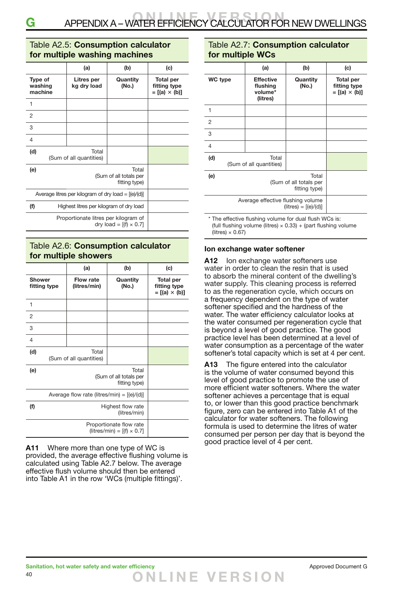#### Table A2.5: **Consumption calculator for multiple washing machines**

|                                                       | (a)                                              | (b)                           | (c)                                                      |
|-------------------------------------------------------|--------------------------------------------------|-------------------------------|----------------------------------------------------------|
| Type of<br>washing<br>machine                         | Litres per<br>kg dry load                        | Quantity<br>(No.)             | <b>Total per</b><br>fitting type<br>$= [(a) \times (b)]$ |
| 1                                                     |                                                  |                               |                                                          |
| 2                                                     |                                                  |                               |                                                          |
| 3                                                     |                                                  |                               |                                                          |
| 4                                                     |                                                  |                               |                                                          |
| (d)                                                   | Total<br>(Sum of all quantities)                 |                               |                                                          |
| (e)                                                   | Total<br>(Sum of all totals per<br>fitting type) |                               |                                                          |
| Average litres per kilogram of dry load = $[(e)/(d)]$ |                                                  |                               |                                                          |
| (f)                                                   | Highest litres per kilogram of dry load          |                               |                                                          |
|                                                       | Proportionate litres per kilogram of             | dry load = $[(f) \times 0.7]$ |                                                          |

### Table A2.6: **Consumption calculator for multiple showers**

|                                              | (a)                                              | (b)                                                          | (c)                                                      |
|----------------------------------------------|--------------------------------------------------|--------------------------------------------------------------|----------------------------------------------------------|
| <b>Shower</b><br>fitting type                | <b>Flow rate</b><br>(litres/min)                 | Quantity<br>(No.)                                            | <b>Total per</b><br>fitting type<br>$= [(a) \times (b)]$ |
| 1                                            |                                                  |                                                              |                                                          |
| $\overline{2}$                               |                                                  |                                                              |                                                          |
| 3                                            |                                                  |                                                              |                                                          |
| 4                                            |                                                  |                                                              |                                                          |
| (d)                                          | Total<br>(Sum of all quantities)                 |                                                              |                                                          |
| (e)                                          | Total<br>(Sum of all totals per<br>fitting type) |                                                              |                                                          |
| Average flow rate (litres/min) = $[(e)/(d)]$ |                                                  |                                                              |                                                          |
| (f)                                          | Highest flow rate<br>(litres/min)                |                                                              |                                                          |
|                                              |                                                  | Proportionate flow rate<br>(litres/min) = $[(f) \times 0.7]$ |                                                          |

**A11** Where more than one type of WC is provided, the average effective flushing volume is calculated using Table A2.7 below. The average effective flush volume should then be entered into Table A1 in the row 'WCs (multiple fittings)'.

### Table A2.7: **Consumption calculator for multiple WCs**

|                                                             | (a)                                                 | (b)               | (c)                                                      |
|-------------------------------------------------------------|-----------------------------------------------------|-------------------|----------------------------------------------------------|
| WC type                                                     | <b>Effective</b><br>flushing<br>volume*<br>(litres) | Quantity<br>(No.) | <b>Total per</b><br>fitting type<br>$= [(a) \times (b)]$ |
| 1                                                           |                                                     |                   |                                                          |
| $\overline{2}$                                              |                                                     |                   |                                                          |
| 3                                                           |                                                     |                   |                                                          |
| $\overline{4}$                                              |                                                     |                   |                                                          |
| (d)                                                         | Total<br>(Sum of all quantities)                    |                   |                                                          |
| (e)                                                         | (Sum of all totals per                              |                   |                                                          |
| Average effective flushing volume<br>$(litres) = [(e)/(d)]$ |                                                     |                   |                                                          |

\* The effective flushing volume for dual flush WCs is: (full flushing volume (litres)  $\times$  0.33) + (part flushing volume  $(litres) \times 0.67$ 

#### **Ion exchange water softener**

A12 Ion exchange water softeners use water in order to clean the resin that is used to absorb the mineral content of the dwelling's water supply. This cleaning process is referred to as the regeneration cycle, which occurs on a frequency dependent on the type of water softener specified and the hardness of the water. The water efficiency calculator looks at the water consumed per regeneration cycle that is beyond a level of good practice. The good practice level has been determined at a level of water consumption as a percentage of the water softener's total capacity which is set at 4 per cent.

**A13** The figure entered into the calculator is the volume of water consumed beyond this level of good practice to promote the use of more efficient water softeners. Where the water softener achieves a percentage that is equal to, or lower than this good practice benchmark figure, zero can be entered into Table A1 of the calculator for water softeners. The following formula is used to determine the litres of water consumed per person per day that is beyond the good practice level of 4 per cent.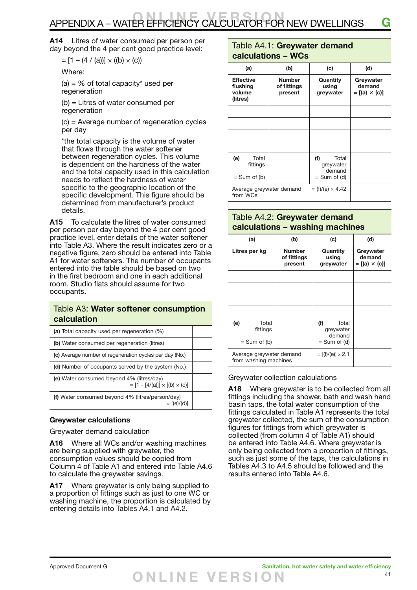## APPENDIX A – WATER EFFICIENCY CALCULATOR FOR NEW DWELLINGS **G**

**A14** Litres of water consumed per person per day beyond the 4 per cent good practice level:

 $= [1 - (4 / (a))] \times ((b) \times (c))$ 

Where:

 $(a) = \%$  of total capacity\* used per regeneration

(b) = Litres of water consumed per regeneration

(c) = Average number of regeneration cycles per day

\*the total capacity is the volume of water that flows through the water softener between regeneration cycles. This volume is dependent on the hardness of the water and the total capacity used in this calculation needs to reflect the hardness of water specific to the geographic location of the specific development. This figure should be determined from manufacturer's product details.

**A15** To calculate the litres of water consumed per person per day beyond the 4 per cent good practice level, enter details of the water softener into Table A3. Where the result indicates zero or a negative figure, zero should be entered into Table A1 for water softeners. The number of occupants entered into the table should be based on two in the first bedroom and one in each additional room. Studio flats should assume for two occupants.

#### Table A3: **Water softener consumption calculation**

| (a) Total capacity used per regeneration (%)                                           |  |
|----------------------------------------------------------------------------------------|--|
| (b) Water consumed per regeneration (litres)                                           |  |
| (c) Average number of regeneration cycles per day (No.)                                |  |
| (d) Number of occupants served by the system (No.)                                     |  |
| (e) Water consumed beyond 4% (litres/day)<br>$= [1 - [4/(a)]] \times [(b) \times (c)]$ |  |
| (f) Water consumed beyond 4% (litres/person/day)<br>$= [(e)/(d)]$                      |  |

#### **Greywater calculations**

Greywater demand calculation

**A16** Where all WCs and/or washing machines are being supplied with greywater, the consumption values should be copied from Column 4 of Table A1 and entered into Table A4.6 to calculate the greywater savings.

**A17** Where greywater is only being supplied to a proportion of fittings such as just to one WC or washing machine, the proportion is calculated by entering details into Tables A4.1 and A4.2.

#### Table A4.1: **Greywater demand calculations – WCs**

| (a)                                                | (b)                                     | (c)                                                   | (d)                                        |
|----------------------------------------------------|-----------------------------------------|-------------------------------------------------------|--------------------------------------------|
| <b>Effective</b><br>flushing<br>volume<br>(litres) | <b>Number</b><br>of fittings<br>present | Quantity<br>using<br>greywater                        | Greywater<br>demand<br>$=[(a) \times (c)]$ |
|                                                    |                                         |                                                       |                                            |
|                                                    |                                         |                                                       |                                            |
|                                                    |                                         |                                                       |                                            |
|                                                    |                                         |                                                       |                                            |
| (e)<br>Total<br>fittings<br>$=$ Sum of (b)         |                                         | (f)<br>Total<br>greywater<br>demand<br>$= Sum of (d)$ |                                            |
| Average greywater demand<br>from WCs               |                                         | $= (f)/(e) \times 4.42$                               |                                            |

### Table A4.2: **Greywater demand calculations – washing machines**

| (a)                                               | (b)                                     | (c)                                                   | (d)                                         |
|---------------------------------------------------|-----------------------------------------|-------------------------------------------------------|---------------------------------------------|
| Litres per kg                                     | <b>Number</b><br>of fittings<br>present | Quantity<br>using<br>greywater                        | Greywater<br>demand<br>$= [(a) \times (c)]$ |
|                                                   |                                         |                                                       |                                             |
|                                                   |                                         |                                                       |                                             |
|                                                   |                                         |                                                       |                                             |
|                                                   |                                         |                                                       |                                             |
| (e)<br>Total<br>fittings<br>$=$ Sum of (b)        |                                         | (f)<br>Total<br>greywater<br>demand<br>$=$ Sum of (d) |                                             |
| Average greywater demand<br>from washing machines |                                         | $=$ [(f)/(e)] $\times$ 2.1                            |                                             |

#### Greywater collection calculations

**A18** Where greywater is to be collected from all fittings including the shower, bath and wash hand basin taps, the total water consumption of the fittings calculated in Table A1 represents the total greywater collected, the sum of the consumption figures for fittings from which greywater is collected (from column 4 of Table A1) should be entered into Table A4.6. Where greywater is only being collected from a proportion of fittings, such as just some of the taps, the calculations in Tables A4.3 to A4.5 should be followed and the results entered into Table A4.6.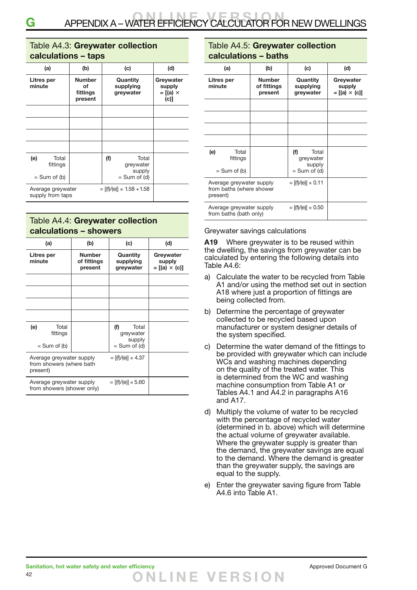#### Table A4.3: **Greywater collection calculations – taps**

| (a)                                                                         | (b)                                        | (c)                                                   | (d)                                               |
|-----------------------------------------------------------------------------|--------------------------------------------|-------------------------------------------------------|---------------------------------------------------|
| Litres per<br>minute                                                        | <b>Number</b><br>οf<br>fittings<br>present | Quantity<br>supplying<br>greywater                    | Greywater<br>supply<br>$= [(a) \times$<br>$(c)$ ] |
|                                                                             |                                            |                                                       |                                                   |
|                                                                             |                                            |                                                       |                                                   |
|                                                                             |                                            |                                                       |                                                   |
|                                                                             |                                            |                                                       |                                                   |
| (e)<br>Total<br>fittings<br>$=$ Sum of (b)                                  |                                            | (f)<br>Total<br>greywater<br>supply<br>$= Sum of (d)$ |                                                   |
| $=$ [(f)/(e)] $\times$ 1.58 + 1.58<br>Average greywater<br>supply from taps |                                            |                                                       |                                                   |

### Table A4.4: **Greywater collection calculations – showers**

| (a)                                                              | (b)                                     | (c)                                 | (d)                                        |
|------------------------------------------------------------------|-----------------------------------------|-------------------------------------|--------------------------------------------|
| Litres per<br>minute                                             | <b>Number</b><br>of fittings<br>present | Quantity<br>supplying<br>greywater  | Greywater<br>supply<br>$=[(a) \times (c)]$ |
|                                                                  |                                         |                                     |                                            |
|                                                                  |                                         |                                     |                                            |
|                                                                  |                                         |                                     |                                            |
|                                                                  |                                         |                                     |                                            |
| Total<br>(e)<br>fittings                                         |                                         | (f)<br>Total<br>greywater<br>supply |                                            |
| $=$ Sum of (b)                                                   |                                         | $=$ Sum of (d)                      |                                            |
| Average greywater supply<br>from showers (where bath<br>present) |                                         | $= [(f)/(e)] \times 4.37$           |                                            |
| Average greywater supply<br>from showers (shower only)           |                                         | $=$ [(f)/(e)] $\times$ 5.60         |                                            |

### Table A4.5: **Greywater collection calculations – baths**

| (a)                                                              | (b)                                     | (c)                                 | (d)                                        |
|------------------------------------------------------------------|-----------------------------------------|-------------------------------------|--------------------------------------------|
| Litres per<br>minute                                             | <b>Number</b><br>of fittings<br>present | Quantity<br>supplying<br>greywater  | Greywater<br>supply<br>$=[(a) \times (c)]$ |
|                                                                  |                                         |                                     |                                            |
|                                                                  |                                         |                                     |                                            |
|                                                                  |                                         |                                     |                                            |
|                                                                  |                                         |                                     |                                            |
| (e)<br>Total<br>fittings                                         |                                         | (f)<br>Total<br>greywater<br>supply |                                            |
| $=$ Sum of (b)                                                   |                                         | $=$ Sum of (d)                      |                                            |
| Average greywater supply<br>from baths (where shower<br>present) |                                         | $=$ [(f)/(e)] $\times$ 0.11         |                                            |
| Average greywater supply<br>from baths (bath only)               |                                         | $= [(f)/(e)] \times 0.50$           |                                            |

Greywater savings calculations

**A19** Where greywater is to be reused within the dwelling, the savings from greywater can be calculated by entering the following details into Table A4.6:

- a) Calculate the water to be recycled from Table A1 and/or using the method set out in section A18 where just a proportion of fittings are being collected from.
- b) Determine the percentage of greywater collected to be recycled based upon manufacturer or system designer details of the system specified.
- c) Determine the water demand of the fittings to be provided with greywater which can include WCs and washing machines depending on the quality of the treated water. This is determined from the WC and washing machine consumption from Table A1 or Tables A4.1 and A4.2 in paragraphs A16 and A17.
- d) Multiply the volume of water to be recycled with the percentage of recycled water (determined in b. above) which will determine the actual volume of greywater available. Where the greywater supply is greater than the demand, the greywater savings are equal to the demand. Where the demand is greater than the greywater supply, the savings are equal to the supply.
- e) Enter the greywater saving figure from Table A4.6 into Table A1.

42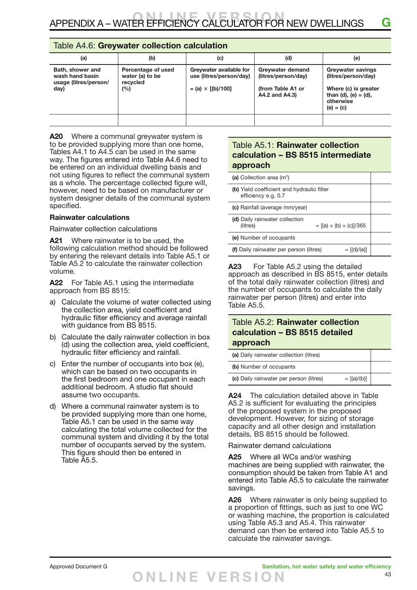#### Table A4.6: **Greywater collection calculation**

| (a)                                                                  | (b)                                                      | (c)                                                                              | (d)                                                                            | (e)                                                                                                                         |
|----------------------------------------------------------------------|----------------------------------------------------------|----------------------------------------------------------------------------------|--------------------------------------------------------------------------------|-----------------------------------------------------------------------------------------------------------------------------|
| Bath, shower and<br>wash hand basin<br>usage (litres/person/<br>day) | Percentage of used<br>water (a) to be<br>recycled<br>(%) | Greywater available for<br>use (litres/person/day)<br>$=$ (a) $\times$ [(b)/100] | Greywater demand<br>(litres/person/day)<br>(from Table A1 or<br>A4.2 and A4.3) | <b>Greywater savings</b><br>(litres/person/day)<br>Where (c) is greater<br>than (d), (e) = (d),<br>otherwise<br>$(e) = (c)$ |
|                                                                      |                                                          |                                                                                  |                                                                                |                                                                                                                             |

**A20** Where a communal greywater system is to be provided supplying more than one home, Tables A4.1 to A4.5 can be used in the same way. The figures entered into Table A4.6 need to be entered on an individual dwelling basis and not using figures to reflect the communal system as a whole. The percentage collected figure will, however, need to be based on manufacturer or system designer details of the communal system specified.

#### **Rainwater calculations**

Rainwater collection calculations

**A21** Where rainwater is to be used, the following calculation method should be followed by entering the relevant details into Table A5.1 or Table A5.2 to calculate the rainwater collection volume.

**A22** For Table A5.1 using the intermediate approach from BS 8515:

- a) Calculate the volume of water collected using the collection area, yield coefficient and hydraulic filter efficiency and average rainfall with guidance from BS 8515.
- b) Calculate the daily rainwater collection in box (d) using the collection area, yield coefficient, hydraulic filter efficiency and rainfall.
- c) Enter the number of occupants into box (e), which can be based on two occupants in the first bedroom and one occupant in each additional bedroom. A studio flat should assume two occupants.
- d) Where a communal rainwater system is to be provided supplying more than one home, Table A5.1 can be used in the same way calculating the total volume collected for the communal system and dividing it by the total number of occupants served by the system. This figure should then be entered in Table A5.5.

### Table A5.1: **Rainwater collection calculation – BS 8515 intermediate approach**

| (a) Collection area (m <sup>2</sup> )                                             |  |
|-----------------------------------------------------------------------------------|--|
| (b) Yield coefficient and hydraulic filter<br>efficiency e.g. 0.7                 |  |
| (c) Rainfall (average mm/year)                                                    |  |
| (d) Daily rainwater collection<br>$= [(a) \times (b) \times (c)]/365$<br>(litres) |  |
| (e) Number of occupants                                                           |  |
| (f) Daily rainwater per person (litres)<br>$= [(d)/(e)]$                          |  |

**A23** For Table A5.2 using the detailed approach as described in BS 8515, enter details of the total daily rainwater collection (litres) and the number of occupants to calculate the daily rainwater per person (litres) and enter into Table A5.5.

#### Table A5.2: **Rainwater collection calculation – BS 8515 detailed approach**

| (a) Daily rainwater collection (litres) |               |  |
|-----------------------------------------|---------------|--|
| (b) Number of occupants                 |               |  |
| (c) Daily rainwater per person (litres) | $= [(a)/(b)]$ |  |

**A24** The calculation detailed above in Table A5.2 is sufficient for evaluating the principles of the proposed system in the proposed development. However, for sizing of storage capacity and all other design and installation details, BS 8515 should be followed.

Rainwater demand calculations

**A25** Where all WCs and/or washing machines are being supplied with rainwater, the consumption should be taken from Table A1 and entered into Table A5.5 to calculate the rainwater savings.

**A26** Where rainwater is only being supplied to a proportion of fittings, such as just to one WC or washing machine, the proportion is calculated using Table A5.3 and A5.4. This rainwater demand can then be entered into Table A5.5 to calculate the rainwater savings.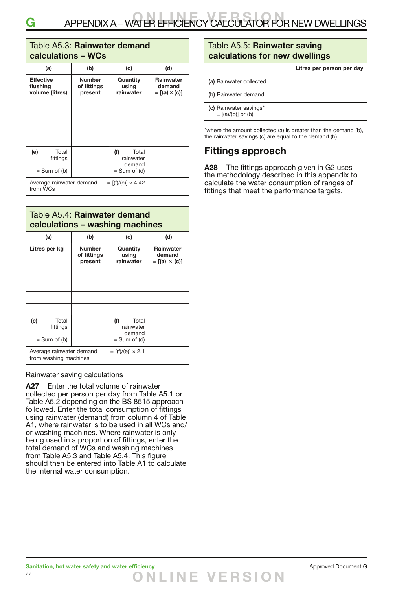#### Table A5.3: **Rainwater demand calculations – WCs**

| (a)                                             | (b)                                     | (c)                                 | (d)                                         |
|-------------------------------------------------|-----------------------------------------|-------------------------------------|---------------------------------------------|
| <b>Effective</b><br>flushing<br>volume (litres) | <b>Number</b><br>of fittings<br>present | Quantity<br>using<br>rainwater      | Rainwater<br>demand<br>$= [(a) \times (c)]$ |
|                                                 |                                         |                                     |                                             |
|                                                 |                                         |                                     |                                             |
|                                                 |                                         |                                     |                                             |
|                                                 |                                         |                                     |                                             |
| (e)<br>Total<br>fittings                        |                                         | (f)<br>Total<br>rainwater<br>demand |                                             |
| $=$ Sum of (b)                                  |                                         | $=$ Sum of (d)                      |                                             |
| Average rainwater demand<br>from WCs            |                                         |                                     |                                             |

#### Table A5.4: **Rainwater demand calculations – washing machines**

| (a)                                                                             | (b)                                     | (c)                                                   | (d)                                         |
|---------------------------------------------------------------------------------|-----------------------------------------|-------------------------------------------------------|---------------------------------------------|
| Litres per kg                                                                   | <b>Number</b><br>of fittings<br>present | Quantity<br>using<br>rainwater                        | Rainwater<br>demand<br>$= [(a) \times (c)]$ |
|                                                                                 |                                         |                                                       |                                             |
|                                                                                 |                                         |                                                       |                                             |
|                                                                                 |                                         |                                                       |                                             |
|                                                                                 |                                         |                                                       |                                             |
| (e)<br>Total<br>fittings<br>$=$ Sum of (b)                                      |                                         | (f)<br>Total<br>rainwater<br>demand<br>$=$ Sum of (d) |                                             |
| Average rainwater demand<br>$=$ [(f)/(e)] $\times$ 2.1<br>from washing machines |                                         |                                                       |                                             |

#### Rainwater saving calculations

**A27** Enter the total volume of rainwater collected per person per day from Table A5.1 or Table A5.2 depending on the BS 8515 approach followed. Enter the total consumption of fittings using rainwater (demand) from column 4 of Table A1, where rainwater is to be used in all WCs and/ or washing machines. Where rainwater is only being used in a proportion of fittings, enter the total demand of WCs and washing machines from Table A5.3 and Table A5.4. This figure should then be entered into Table A1 to calculate the internal water consumption.

#### Table A5.5: **Rainwater saving calculations for new dwellings**

|                                                  | Litres per person per day |
|--------------------------------------------------|---------------------------|
| (a) Rainwater collected                          |                           |
| (b) Rainwater demand                             |                           |
| (c) Rainwater savings*<br>$= [(a)/(b)]$ or $(b)$ |                           |

\*where the amount collected (a) is greater than the demand (b), the rainwater savings (c) are equal to the demand (b)

### **Fittings approach**

**A28** The fittings approach given in G2 uses the methodology described in this appendix to calculate the water consumption of ranges of fittings that meet the performance targets.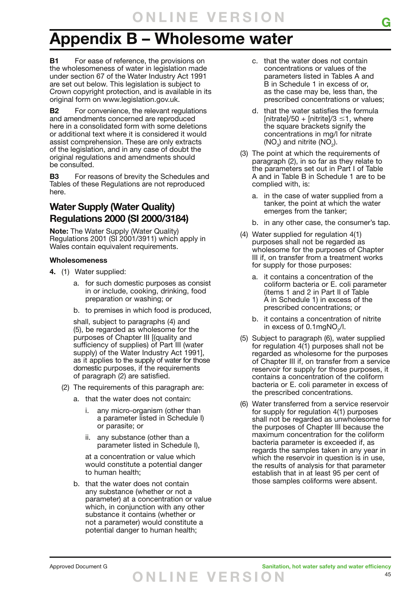## **Appendix B – Wholesome water**

**B1** For ease of reference, the provisions on the wholesomeness of water in legislation made under section 67 of the Water Industry Act 1991 are set out below. This legislation is subject to Crown copyright protection, and is available in its original form on www.legislation.gov.uk.

**B2** For convenience, the relevant regulations and amendments concerned are reproduced here in a consolidated form with some deletions or additional text where it is considered it would assist comprehension. These are only extracts of the legislation, and in any case of doubt the original regulations and amendments should be consulted.

**B3** For reasons of brevity the Schedules and Tables of these Regulations are not reproduced here.

### **Water Supply (Water Quality) Regulations 2000 (SI 2000/3184)**

**Note:** The Water Supply (Water Quality) Regulations 2001 (SI 2001/3911) which apply in Wales contain equivalent requirements.

#### **Wholesomeness**

- **4.** (1) Water supplied:
	- a. for such domestic purposes as consist in or include, cooking, drinking, food preparation or washing; or
	- b. to premises in which food is produced,

shall, subject to paragraphs (4) and (5), be regarded as wholesome for the purposes of Chapter III [(quality and sufficiency of supplies) of Part III (water supply) of the Water Industry Act 1991], as it applies to the supply of water for those domestic purposes, if the requirements of paragraph (2) are satisfied.

- (2) The requirements of this paragraph are:
	- a. that the water does not contain:
		- any micro-organism (other than a parameter listed in Schedule I) or parasite; or
		- ii. any substance (other than a parameter listed in Schedule I),

at a concentration or value which would constitute a potential danger to human health;

b. that the water does not contain any substance (whether or not a parameter) at a concentration or value which, in conjunction with any other substance it contains (whether or not a parameter) would constitute a potential danger to human health;

- c. that the water does not contain concentrations or values of the parameters listed in Tables A and B in Schedule 1 in excess of or, as the case may be, less than, the prescribed concentrations or values;
- d. that the water satisfies the formula [nitrate]/50 + [nitrite]/3  $\leq$ 1, where the square brackets signify the concentrations in mg/l for nitrate (NO<sub>3</sub>) and nitrite (NO<sub>2</sub>).
- (3) The point at which the requirements of paragraph (2), in so far as they relate to the parameters set out in Part I of Table A and in Table B in Schedule 1 are to be complied with, is:
	- a. in the case of water supplied from a tanker, the point at which the water emerges from the tanker;
	- b. in any other case, the consumer's tap.
- (4) Water supplied for regulation 4(1) purposes shall not be regarded as wholesome for the purposes of Chapter III if, on transfer from a treatment works for supply for those purposes:
	- a. it contains a concentration of the coliform bacteria or E. coli parameter (items 1 and 2 in Part II of Table A in Schedule 1) in excess of the prescribed concentrations; or
	- b. it contains a concentration of nitrite in excess of 0.1mgNO<sub>2</sub>/l.
- (5) Subject to paragraph (6), water supplied for regulation 4(1) purposes shall not be regarded as wholesome for the purposes of Chapter III if, on transfer from a service reservoir for supply for those purposes, it contains a concentration of the coliform bacteria or E. coli parameter in excess of the prescribed concentrations.
- (6) Water transferred from a service reservoir for supply for regulation 4(1) purposes shall not be regarded as unwholesome for the purposes of Chapter III because the maximum concentration for the coliform bacteria parameter is exceeded if, as regards the samples taken in any year in which the reservoir in question is in use. the results of analysis for that parameter establish that in at least 95 per cent of those samples coliforms were absent.

Approved Document G **Sanitation, hot water safety and water efficiency O NLINE VER S I O N**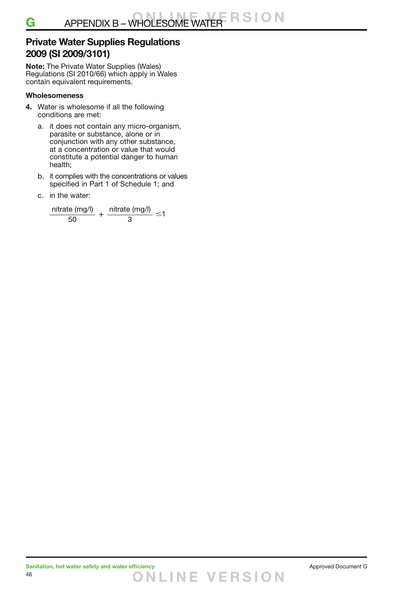### **Private Water Supplies Regulations 2009 (SI 2009/3101)**

**Note:** The Private Water Supplies (Wales) Regulations (SI 2010/66) which apply in Wales contain equivalent requirements.

#### **Wholesomeness**

- **4.** Water is wholesome if all the following conditions are met:
	- a. it does not contain any micro-organism, parasite or substance, alone or in conjunction with any other substance, at a concentration or value that would constitute a potential danger to human health;
	- b. it complies with the concentrations or values specified in Part 1 of Schedule 1; and
	- c. in the water:

$$
\frac{\text{nitrate (mg/l)}}{50} + \frac{\text{nitrate (mg/l)}}{3} \leq 1
$$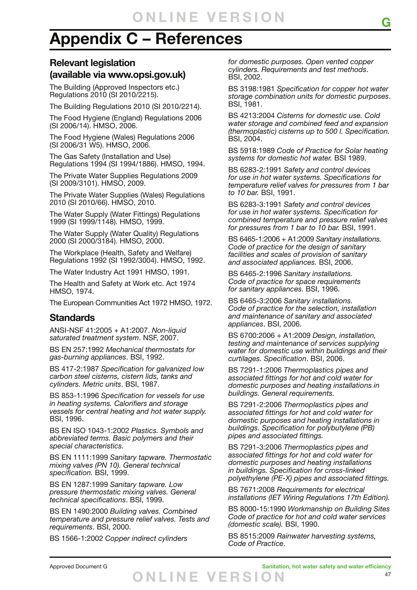## **Appendix C – References**

### **Relevant legislation (available via www.opsi.gov.uk)**

The Building (Approved Inspectors etc.) Regulations 2010 (SI 2010/2215).

The Building Regulations 2010 (SI 2010/2214).

The Food Hygiene (England) Regulations 2006 (SI 2006/14). HMSO, 2006.

The Food Hygiene (Wales) Regulations 2006 (SI 2006/31 W5). HMSO, 2006.

The Gas Safety (Installation and Use) Regulations 1994 (SI 1994/1886). HMSO, 1994.

The Private Water Supplies Regulations 2009 (SI 2009/3101). HMSO, 2009.

The Private Water Supplies (Wales) Regulations 2010 (SI 2010/66). HMSO, 2010.

The Water Supply (Water Fittings) Regulations 1999 (SI 1999/1148). HMSO, 1999.

The Water Supply (Water Quality) Regulations 2000 (SI 2000/3184). HMSO, 2000.

The Workplace (Health, Safety and Welfare) Regulations 1992 (SI 1992/3004). HMSO, 1992.

The Water Industry Act 1991 HMSO, 1991.

The Health and Safety at Work etc. Act 1974 HMSO, 1974.

The European Communities Act 1972 HMSO, 1972.

### **Standards**

ANSI-NSF 41:2005 + A1:2007. *Non-liquid saturated treatment system*. NSF, 2007.

BS EN 257:1992 *Mechanical thermostats for gas-burning appliances*. BSI, 1992.

BS 417-2:1987 *Specification for galvanized low carbon steel cisterns, cistern lids, tanks and cylinders. Metric units*. BSI, 1987.

BS 853-1:1996 *Specification for vessels for use in heating systems. Calorifiers and storage vessels for central heating and hot water supply.*  BSI, 1996.

BS EN ISO 1043-1:2002 *Plastics. Symbols and abbreviated terms. Basic polymers and their special characteristics.*

BS EN 1111:1999 *Sanitary tapware. Thermostatic mixing valves (PN 10). General technical specification.* BSI, 1999.

BS EN 1287:1999 *Sanitary tapware. Low pressure thermostatic mixing valves. General technical specifications*. BSI, 1999.

BS EN 1490:2000 *Building valves. Combined temperature and pressure relief valves. Tests and requirements*. BSI, 2000.

BS 1566-1:2002 *Copper indirect cylinders* 

*for domestic purposes. Open vented copper cylinders. Requirements and test methods*. BSI, 2002.

BS 3198:1981 *Specification for copper hot water storage combination units for domestic purposes*. BSI, 1981.

BS 4213:2004 *Cisterns for domestic use. Cold water storage and combined feed and expansion (thermoplastic) cisterns up to 500 l. Specification.*  BSI, 2004.

BS 5918:1989 *Code of Practice for Solar heating systems for domestic hot water.* BSI 1989.

BS 6283-2:1991 *Safety and control devices for use in hot water systems. Specifications for temperature relief valves for pressures from 1 bar to 10 bar.* BSI, 1991.

BS 6283-3:1991 *Safety and control devices for use in hot water systems. Specification for combined temperature and pressure relief valves for pressures from 1 bar to 10 bar.* BSI, 1991.

BS 6465-1:2006 + A1:2009 *Sanitary installations. Code of practice for the design of sanitary facilities and scales of provision of sanitary and associated appliances.* BSI, 2006.

BS 6465-2:1996 *Sanitary installations. Code of practice for space requirements for sanitary appliances.* BSI, 1996.

BS 6465-3:2006 *Sanitary installations. Code of practice for the selection, installation and maintenance of sanitary and associated appliances*. BSI, 2006.

BS 6700:2006 + A1:2009 *Design, installation, testing and maintenance of services supplying water for domestic use within buildings and their curtilages. Specification*. BSI, 2006.

BS 7291-1:2006 *Thermoplastics pipes and associated fittings for hot and cold water for domestic purposes and heating installations in buildings. General requirements.*

BS 7291-2:2006 *Thermoplastics pipes and associated fittings for hot and cold water for domestic purposes and heating installations in buildings. Specification for polybutylene (PB) pipes and associated fittings.*

BS 7291-3:2006 *Thermoplastics pipes and associated fittings for hot and cold water for domestic purposes and heating installations in buildings. Specification for cross-linked polyethylene (PE-X) pipes and associated fittings.*

BS 7671:2008 *Requirements for electrical installations (IET Wiring Regulations 17th Edition).*

BS 8000-15:1990 *Workmanship on Building Sites Code of practice for hot and cold water services (domestic scale).* BSI, 1990.

BS 8515:2009 *Rainwater harvesting systems, Code of Practice*.

47 Approved Document G **Sanitation, hot water safety and water efficiency O NLINE VER S I O N**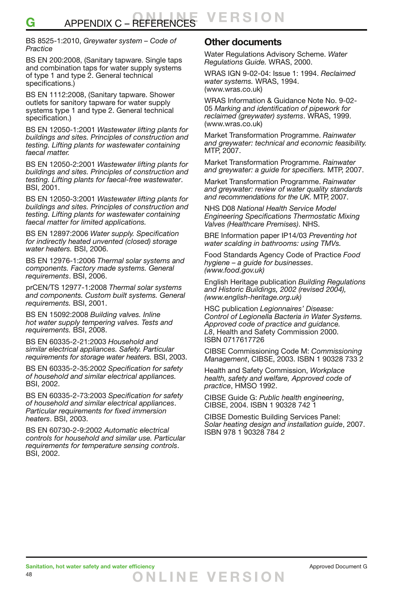#### BS 8525-1:2010, *Greywater system – Code of Practice*

BS EN 200:2008, (Sanitary tapware. Single taps and combination taps for water supply systems of type 1 and type 2. General technical specifications.)

BS EN 1112:2008, (Sanitary tapware. Shower outlets for sanitory tapware for water supply systems type 1 and type 2. General technical specification.)

BS EN 12050-1:2001 *Wastewater lifting plants for buildings and sites. Principles of construction and testing. Lifting plants for wastewater containing faecal matter.*

BS EN 12050-2:2001 *Wastewater lifting plants for buildings and sites. Principles of construction and testing. Lifting plants for faecal-free wastewater*. BSI, 2001.

BS EN 12050-3:2001 *Wastewater lifting plants for buildings and sites. Principles of construction and testing. Lifting plants for wastewater containing faecal matter for limited applications.* 

BS EN 12897:2006 *Water supply. Specification for indirectly heated unvented (closed) storage water heaters.* BSI, 2006.

BS EN 12976-1:2006 *Thermal solar systems and components. Factory made systems. General requirements*. BSI, 2006.

prCEN/TS 12977-1:2008 *Thermal solar systems and components. Custom built systems. General requirements.* BSI, 2001.

BS EN 15092:2008 *Building valves. Inline hot water supply tempering valves. Tests and requirements.* BSI, 2008.

BS EN 60335-2-21:2003 *Household and similar electrical appliances. Safety. Particular requirements for storage water heaters.* BSI, 2003.

BS EN 60335-2-35:2002 *Specification for safety of household and similar electrical appliances.*  BSI, 2002.

BS EN 60335-2-73:2003 *Specification for safety of household and similar electrical appliances*. *Particular requirements for fixed immersion heaters*. BSI, 2003.

BS EN 60730-2-9:2002 *Automatic electrical controls for household and similar use. Particular requirements for temperature sensing controls*. BSI, 2002.

### **Other documents**

Water Regulations Advisory Scheme. *Water Regulations Guide.* WRAS, 2000.

WRAS IGN 9-02-04: Issue 1: 1994. *Reclaimed water systems.* WRAS, 1994. (www.wras.co.uk)

WRAS Information & Guidance Note No. 9-02- 05 *Marking and identification of pipework for reclaimed (greywater) systems*. WRAS, 1999. (www.wras.co.uk)

Market Transformation Programme. *Rainwater and greywater: technical and economic feasibility.*  MTP, 2007.

Market Transformation Programme. *Rainwater and greywater: a guide for specifiers.* MTP, 2007.

Market Transformation Programme. *Rainwater and greywater: review of water quality standards and recommendations for the UK.* MTP, 2007.

NHS D08 *National Health Service Model Engineering Specifications Thermostatic Mixing Valves (Healthcare Premises)*. NHS.

BRE Information paper IP14/03 *Preventing hot water scalding in bathrooms: using TMVs.*

Food Standards Agency Code of Practice *Food hygiene – a guide for businesses*. *(www.food.gov.uk)*

English Heritage publication *Building Regulations and Historic Buildings, 2002 (revised 2004), (www.english-heritage.org.uk)*

HSC publication *Legionnaires' Disease: Control of Legionella Bacteria in Water Systems. Approved code of practice and guidance. L8*, Health and Safety Commission 2000. ISBN 0717617726

CIBSE Commissioning Code M: *Commissioning Management*, CIBSE, 2003. ISBN 1 90328 733 2

Health and Safety Commission, *Workplace health, safety and welfare, Approved code of practice*, HMSO 1992.

CIBSE Guide G: *Public health engineering*, CIBSE, 2004. ISBN 1 90328 742 1

CIBSE Domestic Building Services Panel: *Solar heating design and installation guide*, 2007. ISBN 978 1 90328 784 2

**O NLINE VER S I O N**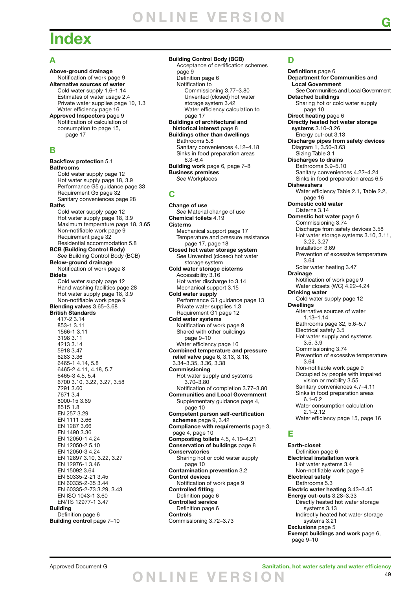## **Index**

#### **A**

**Above-ground drainage** Notification of work page 9 **Alternative sources of water** Cold water supply 1.6–1.14 Estimates of water usage 2.4 Private water supplies page 10, 1.3 Water efficiency page 16 **Approved Inspectors** page 9 Notification of calculation of consumption to page 15, page 17

#### **B**

**Backflow protection** 5.1 **Bathrooms** Cold water supply page 12 Hot water supply page 18, 3.9 Performance G5 guidance page 33 Requirement G5 page 32 Sanitary conveniences page 28 **Baths** Cold water supply page 12 Hot water supply page 18, 3.9 Maximum temperature page 18, 3.65 Non-notifiable work page 9 Requirement page 32 Residential accommodation 5.8 **BCB (Building Control Body)**  *See* Building Control Body (BCB) **Below-ground drainage** Notification of work page 8 **Bidets** Cold water supply page 12 Hand washing facilities page 28 Hot water supply page 18, 3.9 Non-notifiable work page 9 **Blending valves** 3.65–3.68 **British Standards** 417-2 3.14 853-1 3.11 1566-1 3.11 3198 3.11 4213 3.14 5918 3.47 6283 3.36 6465-1 4.14, 5.8 6465-2 4.11, 4.18, 5.7 6465-3 4.5, 5.4 6700 3.10, 3.22, 3.27, 3.58 7291 3.60 7671 3.4 8000-15 3.69 8515 1.8 EN 257 3.29 EN 1111 3.66 EN 1287 3.66 EN 1490 3.36 EN 12050-1 4.24 EN 12050-2 5.10 EN 12050-3 4.24 EN 12897 3.10, 3.22, 3.27 EN 12976-1 3.46 EN 15092 3.64 EN 60335-2-21 3.45 EN 60335-2-35 3.44 EN 60335-2-73 3.29, 3.43 EN ISO 1043-1 3.60 EN/TS 12977-1 3.47 **Building** Definition page 6 **Building control** page 7–10

#### **Building Control Body (BCB)**

 Acceptance of certification schemes page 9 Definition page 6 Notification to Commissioning 3.77–3.80 Unvented (closed) hot water storage system 3.42 Water efficiency calculation to page 17 **Buildings of architectural and historical interest** page 8 **Buildings other than dwellings** Bathrooms 5.8 Sanitary conveniences 4.12–4.18 Sinks in food preparation areas 6.3–6.4 **Building work** page 6, page 7–8 **Business premises**  *See* Workplaces **C**

**Change of use** *See* Material change of use **Chemical toilets** 4.19 **Cisterns** Mechanical support page 17 Temperature and pressure resistance page 17, page 18 **Closed hot water storage system**  *See* Unvented (closed) hot water storage system **Cold water storage cisterns** Accessibility 3.16 Hot water discharge to 3.14 Mechanical support 3.15 **Cold water supply** Performance G1 guidance page 13 Private water supplies 1.3 Requirement G1 page 12 **Cold water systems** Notification of work page 9 Shared with other buildings page 9–10 Water efficiency page 16 **Combined temperature and pressure relief valve** page 6, 3.13, 3.18, 3.34–3.35, 3.36, 3.38 **Commissioning** Hot water supply and systems 3.70–3.80 Notification of completion 3.77–3.80 **Communities and Local Government** Supplementary guidance page 4, page 10 **Competent person self-certification schemes** page 9, 3.42 **Compliance with requirements** page 3, page 4, page 10 **Composting toilets** 4.5, 4.19–4.21 **Conservation of buildings** page 8 **Conservatories** Sharing hot or cold water supply page 10 **Contamination prevention** 3.2 **Control devices** Notification of work page 9 **Controlled fitting** Definition page 6 **Controlled service** Definition page 6 **Controls** Commissioning 3.72–3.73

### **D**

**Definitions** page 6 **Department for Communities and Local Government**  *See* Communities and Local Government **Detached buildings** Sharing hot or cold water supply page 10 **Direct heating** page 6 **Directly heated hot water storage systems** 3.10–3.26 Energy cut-out 3.13 **Discharge pipes from safety devices** Diagram 1, 3.50–3.63 Sizing Table 3.1 **Discharges to drains** Bathrooms 5.9–5.10 Sanitary conveniences 4.22–4.24 Sinks in food preparation areas 6.5 **Dishwashers** Water efficiency Table 2.1, Table 2.2, page 16 **Domestic cold water** Cisterns 3.14 **Domestic hot water** page 6 Commissioning 3.74 Discharge from safety devices 3.58 Hot water storage systems 3.10, 3.11, 3.22, 3.27 Installation 3.69 Prevention of excessive temperature 3.64 Solar water heating 3.47 **Drainage** Notification of work page 9 Water closets (WC) 4.22-4.24 **Drinking water** Cold water supply page 12 **Dwellings** Alternative sources of water 1.13–1.14 Bathrooms page 32, 5.6–5.7 Electrical safety 3.5 Hot water supply and systems 3.5, 3.9 Commissioning 3.74 Prevention of excessive temperature 3.64 Non-notifiable work page 9 Occupied by people with impaired vision or mobility 3.55 Sanitary conveniences 4.7–4.11 Sinks in food preparation areas 6.1–6.2 Water consumption calculation 2.1–2.12 Water efficiency page 15, page 16

#### **E**

**Earth-closet** Definition page 6 **Electrical installation work** Hot water systems 3.4 Non-notifiable work page 9 **Electrical safety** Bathrooms 5.3 **Electric water heating** 3.43–3.45 **Energy cut-outs** 3.28–3.33 Directly heated hot water storage systems 3.13 Indirectly heated hot water storage systems 3.21 **Exclusions** page 5 **Exempt buildings and work** page 6, page 9–10

49 Approved Document G **Sanitation, hot water safety and water efficiency O NLINE VER S I O N**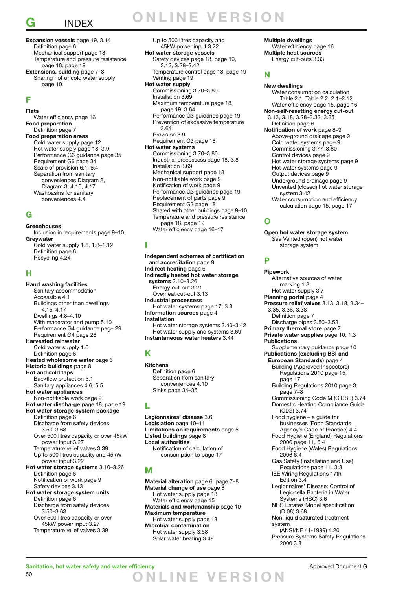## **G** INDEX

#### **Expansion vessels** page 19, 3.14 Definition page 6 Mechanical support page 18 Temperature and pressure resistance page 18, page 19 **Extensions, building** page 7–8 Sharing hot or cold water supply page 10

### **F**

**Flats** Water efficiency page 16 **Food preparation** Definition page 7 **Food preparation areas** Cold water supply page 12 Hot water supply page 18, 3.9 Performance G6 guidance page 35 Requirement G6 page 34 Scale of provision 6.1–6.4 Separation from sanitary conveniences Diagram 2, Diagram 3, 4.10, 4.17 Washbasins for sanitary conveniences 4.4

#### **G**

**Greenhouses** Inclusion in requirements page 9–10 **Greywater** Cold water supply 1.6, 1.8–1.12 Definition page 6

Recycling 4.24

#### **H**

**Hand washing facilities** Sanitary accommodation Accessible 4.1 Buildings other than dwellings 4.15–4.17 Dwellings 4.8–4.10 With macerator and pump 5.10 Performance G4 guidance page 29 Requirement G4 page 28 **Harvested rainwater** Cold water supply 1.6 Definition page 6 **Heated wholesome water** page 6 **Historic buildings** page 8 **Hot and cold taps** Backflow protection 5.1 Sanitary appliances 4.6, 5.5 **Hot water appliances** Non-notifiable work page 9 **Hot water discharge** page 18, page 19 **Hot water storage system package** Definition page 6 Discharge from safety devices 3.50–3.63 Over 500 litres capacity or over 45kW power input 3.27 Temperature relief valves 3.39 Up to 500 litres capacity and 45kW power input 3.22 **Hot water storage systems** 3.10–3.26 Definition page 6 Notification of work page 9 Safety devices 3.13 **Hot water storage system units** Definition page 6 Discharge from safety devices 3.50–3.63 Over 500 litres capacity or over 45kW power input 3.27

Temperature relief valves 3.39

**O NLINE VER S I O N**

 Up to 500 litres capacity and 45kW power input 3.22 **Hot water storage vessels** Safety devices page 18, page 19. 3.13, 3.28–3.42 Temperature control page 18, page 19 Venting page 19 **Hot water supply** Commissioning 3.70–3.80 Installation 3.69 Maximum temperature page 18, page 19, 3.64 Performance G3 guidance page 19 Prevention of excessive temperature 3.64 Provision 3.9 Requirement G3 page 18 **Hot water systems** Commissioning 3.70–3.80 Industrial processess page 18, 3.8

 Installation 3.69 Mechanical support page 18 Non-notifiable work page 9 Notification of work page 9 Performance G3 guidance page 19 Replacement of parts page 9 Requirement G3 page 18 Shared with other buildings page 9–10 Temperature and pressure resistance page 18, page 19 Water efficiency page 16–17

#### **I**

**Independent schemes of certification and accreditation** page 9 **Indirect heating** page 6 **Indirectly heated hot water storage systems** 3.10–3.26 Energy cut-out 3.21 Overheat cut-out 3.13 **Industrial processess** Hot water systems page 17, 3.8 **Information sources** page 4 **Installation** Hot water storage systems 3.40–3.42 Hot water supply and systems 3.69 **Instantaneous water heaters** 3.44

#### **K**

**Kitchens** Definition page 6 Separation from sanitary conveniences 4.10 Sinks page 34–35

#### **L**

**Legionnaires' disease** 3.6 **Legislation** page 10–11 **Limitations on requirements** page 5 **Listed buildings** page 8 **Local authorities** Notification of calculation of consumption to page 17

#### **M**

**Material alteration** page 6, page 7–8 **Material change of use** page 8 Hot water supply page 18 Water efficiency page 15 **Materials and workmanship** page 10 **Maximum temperature** Hot water supply page 18 **Microbial contamination** Hot water supply 3.68 Solar water heating 3.48

**Multiple dwellings** Water efficiency page 16 **Multiple heat sources** Energy cut-outs 3.33

#### **N**

**New dwellings** Water consumption calculation Table 2.1, Table 2.2, 2.1–2.12 Water efficiency page 15, page 16 **Non-self-resetting energy cut-out** 3.13, 3.18, 3.28–3.33, 3.35 Definition page 6 **Notification of work** page 8–9 Above-ground drainage page 9 Cold water systems page 9 Commissioning 3.77–3.80 Control devices page 9 Hot water storage systems page 9 Hot water systems page 9 Output devices page 9 Underground drainage page 9 Unvented (closed) hot water storage system 3.42 Water consumption and efficiency calculation page 15, page 17

### **O**

**Open hot water storage system** *See* Vented (open) hot water storage system

#### **P**

**Pipework** Alternative sources of water, marking 1.8 Hot water supply 3.7 **Planning portal** page 4 **Pressure relief valves** 3.13, 3.18, 3.34– 3.35, 3.36, 3.38 Definition page 7 Discharge pipes 3.50–3.53 **Primary thermal store** page 7 **Private water supplies** page 10, 1.3 **Publications** Supplementary guidance page 10 **Publications (excluding BSI and European Standards)** page 4 Building (Approved Inspectors) Regulations 2010 page 15, page 17 Building Regulations 2010 page 3, page 7–8 Commissioning Code M (CIBSE) 3.74 Domestic Heating Compliance Guide (CLG) 3.74 Food hygiene – a guide for businesses (Food Standards Agency's Code of Practice) 4.4 Food Hygiene (England) Regulations 2006 page 11, 6.4 Food Hygiene (Wales) Regulations 2006 6.4 Gas Safety (Installation and Use) Regulations page 11, 3.3 IEE Wiring Regulations 17th Edition 3.4 Legionnaires' Disease: Control of Legionella Bacteria in Water Systems (HSC) 3.6 NHS Estates Model specification (D 08) 3.68 Non-liquid saturated treatment system (ANSI/NF 41-1999) 4.20 Pressure Systems Safety Regulations 2000 3.8

**O NLINE VER S I O N**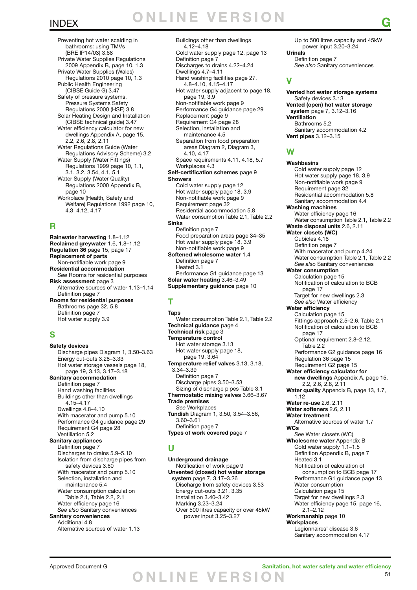## INDEX **G O NLINE VER S I O N**

 Preventing hot water scalding in bathrooms: using TMVs (BRE IP14/03) 3.68 Private Water Supplies Regulations 2009 Appendix B, page 10, 1.3 Private Water Supplies (Wales) Regulations 2010 page 10, 1.3 Public Health Engineering (CIBSE Guide G) 3.47 Safety of pressure systems. Pressure Systems Safety Regulations 2000 (HSE) 3.8 Solar Heating Design and Installation (CIBSE technical guide) 3.47 Water efficiency calculator for new dwellings Appendix A, page 15, 2.2, 2.6, 2.8, 2.11 Water Regulations Guide (Water Regulations Advisory Scheme) 3.2 Water Supply (Water Fittings) Regulations 1999 page 10, 1.1, 3.1, 3.2, 3.54, 4.1, 5.1 Water Supply (Water Quality) Regulations 2000 Appendix B, page 10 Workplace (Health, Safety and Welfare) Regulations 1992 page 10, 4.3, 4.12, 4.17

#### **R**

**Rainwater harvesting** 1.8–1.12 **Reclaimed greywater** 1.6, 1.8–1.12 **Regulation 36** page 15, page 17 **Replacement of parts** Non-notifiable work page 9 **Residential accommodation** *See* Rooms for residential purposes **Risk assessment** page 3 Alternative sources of water 1.13–1.14 Definition page 7 **Rooms for residential purposes** Bathrooms page 32, 5.8 Definition page 7 Hot water supply 3.9

### **S**

**Safety devices** Discharge pipes Diagram 1, 3.50–3.63 Energy cut-outs 3.28–3.33 Hot water storage vessels page 18, page 19, 3.13, 3.17–3.18 **Sanitary accommodation** Definition page 7 Hand washing facilities Buildings other than dwellings 4.15–4.17 Dwellings 4.8–4.10 With macerator and pump 5.10 Performance G4 guidance page 29 Requirement G4 page 28 Ventillation 5.2 **Sanitary appliances** Definition page 7 Discharges to drains 5.9–5.10 Isolation from discharge pipes from safety devices 3.60 With macerator and pump 5.10 Selection, installation and maintenance 5.4 Water consumption calculation Table 2.1, Table 2.2, 2.1 Water efficiency page 16 *See also* Sanitary conveniences **Sanitary conveniences** Additional 4.8 Alternative sources of water 1.13

 Buildings other than dwellings 4.12–4.18 Cold water supply page 12, page 13 Definition page 7 Discharges to drains 4.22–4.24 Dwellings 4.7–4.11 Hand washing facilities page 27, 4.8–4.10, 4.15–4.17 Hot water supply adjacent to page 18, page 19, 3.9 Non-notifiable work page 9 Performance G4 guidance page 29 Replacement page 9 Requirement G4 page 28 Selection, installation and maintenance 4.5 Separation from food preparation areas Diagram 2, Diagram 3, 4.10, 4.17 Space requirements 4.11, 4.18, 5.7 Workplaces 4.3 **Self-certification schemes** page 9 **Showers** Cold water supply page 12 Hot water supply page 18, 3.9 Non-notifiable work page 9 Requirement page 32 Residential accommodation 5.8 Water consumption Table 2.1, Table 2.2 **Sinks** Definition page 7 Food preparation areas page 34–35 Hot water supply page 18, 3.9 Non-notifiable work page 9 **Softened wholesome water** 1.4 Definition page 7 Heated 3.1 Performance G1 guidance page 13 **Solar water heating** 3.46–3.49 **Supplementary guidance** page 10

### **T**

**Taps** Water consumption Table 2.1, Table 2.2 **Technical guidance** page 4 **Technical risk** page 3 **Temperature control** Hot water storage 3.13 Hot water supply page 18, page 19, 3.64 **Temperature relief valves** 3.13, 3.18, 3.34–3.39 Definition page 7 Discharge pipes 3.50–3.53 Sizing of discharge pipes Table 3.1 **Thermostatic mixing valves** 3.66–3.67 **Trade premises** *See* Workplaces **Tundish** Diagram 1, 3.50, 3.54–3.56, 3.60–3.61 Definition page 7 **Types of work covered** page 7

### **U**

**Underground drainage** Notification of work page 9 **Unvented (closed) hot water storage system** page 7, 3.17–3.26 Discharge from safety devices 3.53 Energy cut-outs 3.21, 3.35 Installation 3.40–3.42 Marking 3.23–3.24 Over 500 litres capacity or over 45kW power input 3.25–3.27

 Up to 500 litres capacity and 45kW power input 3.20–3.24 **Urinals** Definition page 7 *See also* Sanitary conveniences

### **V**

**Vented hot water storage systems** Safety devices 3.13 **Vented (open) hot water storage system** page 7, 3.12–3.16 **Ventillation** Bathrooms 5.2 Sanitary accommodation 4.2 **Vent pipes** 3.12–3.15

#### **W**

**Washbasins** Cold water supply page 12 Hot water supply page 18, 3.9 Non-notifiable work page 9 Requirement page 32 Residential accommodation 5.8 Sanitary accommodation 4.4 **Washing machines** Water efficiency page 16 Water consumption Table 2.1, Table 2.2 **Waste disposal units** 2.6, 2.11 **Water closets (WC)** Cubicles 4.16 Definition page 7 With macerator and pump 4.24 Water consumption Table 2.1, Table 2.2 *See also* Sanitary conveniences **Water consumption** Calculation page 15 Notification of calculation to BCB page 17 Target for new dwellings 2.3 *See also* Water efficiency **Water efficiency** Calculation page 15 Fittings approach 2.5–2.6, Table 2.1 Notification of calculation to BCB page 17 Optional requirement 2.8–2.12, Table 2.2 Performance G2 guidance page 16 Regulation 36 page 15 Requirement G2 page 15 **Water efficiency calculator for new dwellings** Appendix A, page 15, 2.2, 2.6, 2.8, 2.11 **Water quality** Appendix B, page 13, 1.7, 1.12 **Water re-use** 2.6, 2.11 **Water softeners** 2.6, 2.11 **Water treatment** Alternative sources of water 1.7 **WCs** *See* Water closets (WC) **Wholesome water** Appendix B Cold water supply 1.1–1.5 Definition Appendix B, page 7 Heated 3.1 Notification of calculation of consumption to BCB page 17 Performance G1 guidance page 13 Water consumption Calculation page 15 Target for new dwellings 2.3 Water efficiency page 15, page 16, 2.1–2.12 **Workmanship** page 10 **Workplaces** Legionnaires' disease 3.6 Sanitary accommodation 4.17

### Approved Document G **Sanitation, hot water safety and water efficiency O NLINE VER S I O N**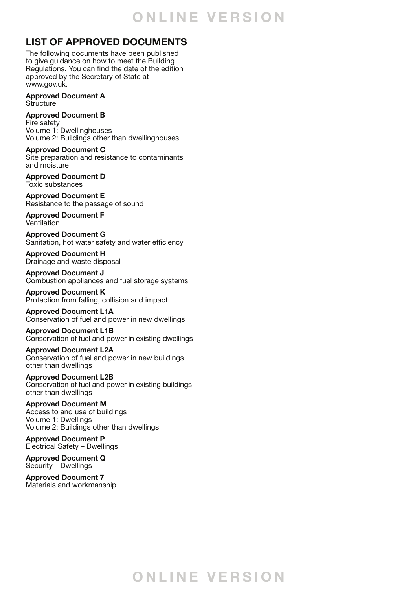## **O NLINE VER S I O N**

## **LIST OF APPROVED DOCUMENTS**

The following documents have been published to give guidance on how to meet the Building Regulations. You can find the date of the edition approved by the Secretary of State at www.gov.uk.

**Approved Document A Structure** 

**Approved Document B**  Fire safety Volume 1: Dwellinghouses Volume 2: Buildings other than dwellinghouses

**Approved Document C**  Site preparation and resistance to contaminants and moisture

**Approved Document D** Toxic substances

**Approved Document E**  Resistance to the passage of sound

**Approved Document F** Ventilation

**Approved Document G** Sanitation, hot water safety and water efficiency

**Approved Document H** Drainage and waste disposal

**Approved Document J** Combustion appliances and fuel storage systems

**Approved Document K** Protection from falling, collision and impact

**Approved Document L1A** Conservation of fuel and power in new dwellings

**Approved Document L1B** Conservation of fuel and power in existing dwellings

**Approved Document L2A** Conservation of fuel and power in new buildings other than dwellings

**Approved Document L2B** Conservation of fuel and power in existing buildings other than dwellings

**Approved Document M** Access to and use of buildings Volume 1: Dwellings Volume 2: Buildings other than dwellings

**Approved Document P** Electrical Safety – Dwellings

**Approved Document Q** Security – Dwellings

**Approved Document 7** Materials and workmanship

## **O NLINE VER S I O N**